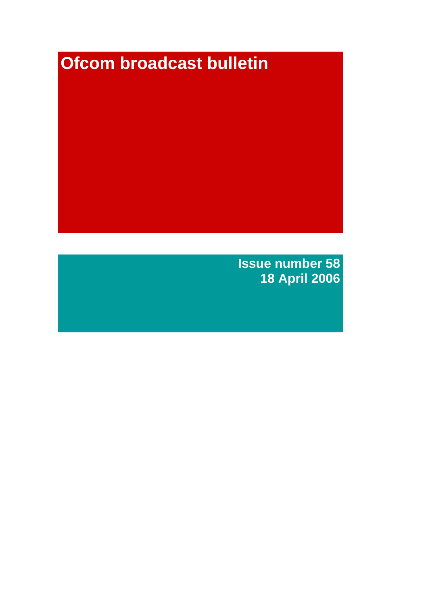# **Ofcom broadcast bulletin**

**Issue number 58 18 April 2006**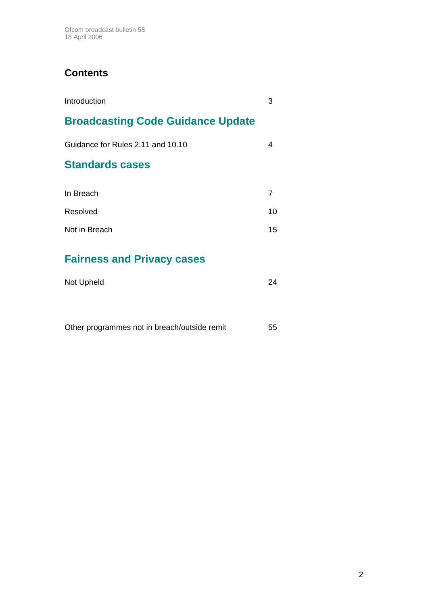# **Contents**

| Introduction                             |    |
|------------------------------------------|----|
| <b>Broadcasting Code Guidance Update</b> |    |
| Guidance for Rules 2.11 and 10.10        | 4  |
| <b>Standards cases</b>                   |    |
| In Breach                                | 7  |
| Resolved                                 | 10 |
| Not in Breach                            | 15 |
|                                          |    |

# **Fairness and Privacy cases**

| Not Upheld | 24 |
|------------|----|
|            |    |

| Other programmes not in breach/outside remit<br>-55 |
|-----------------------------------------------------|
|-----------------------------------------------------|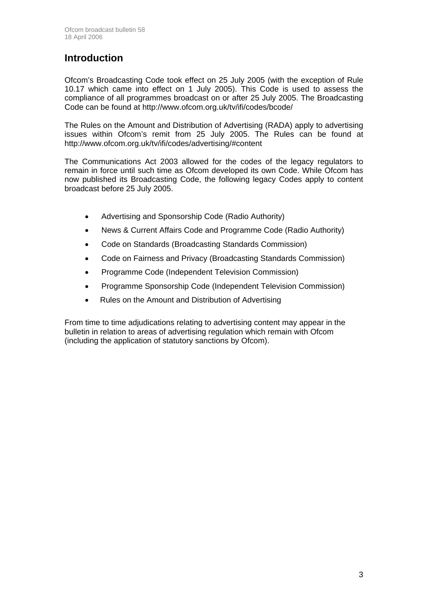### **Introduction**

Ofcom's Broadcasting Code took effect on 25 July 2005 (with the exception of Rule 10.17 which came into effect on 1 July 2005). This Code is used to assess the compliance of all programmes broadcast on or after 25 July 2005. The Broadcasting Code can be found at http://www.ofcom.org.uk/tv/ifi/codes/bcode/

The Rules on the Amount and Distribution of Advertising (RADA) apply to advertising issues within Ofcom's remit from 25 July 2005. The Rules can be found at http://www.ofcom.org.uk/tv/ifi/codes/advertising/#content

The Communications Act 2003 allowed for the codes of the legacy regulators to remain in force until such time as Ofcom developed its own Code. While Ofcom has now published its Broadcasting Code, the following legacy Codes apply to content broadcast before 25 July 2005.

- Advertising and Sponsorship Code (Radio Authority)
- News & Current Affairs Code and Programme Code (Radio Authority)
- Code on Standards (Broadcasting Standards Commission)
- Code on Fairness and Privacy (Broadcasting Standards Commission)
- Programme Code (Independent Television Commission)
- Programme Sponsorship Code (Independent Television Commission)
- Rules on the Amount and Distribution of Advertising

From time to time adjudications relating to advertising content may appear in the bulletin in relation to areas of advertising regulation which remain with Ofcom (including the application of statutory sanctions by Ofcom).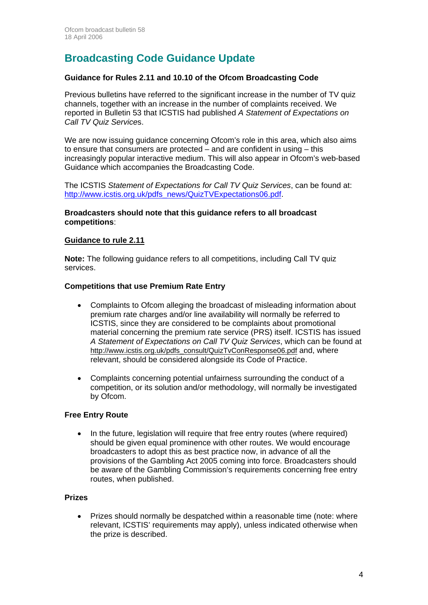# **Broadcasting Code Guidance Update**

#### **Guidance for Rules 2.11 and 10.10 of the Ofcom Broadcasting Code**

Previous bulletins have referred to the significant increase in the number of TV quiz channels, together with an increase in the number of complaints received. We reported in Bulletin 53 that ICSTIS had published *A Statement of Expectations on Call TV Quiz Service*s.

We are now issuing guidance concerning Ofcom's role in this area, which also aims to ensure that consumers are protected – and are confident in using – this increasingly popular interactive medium. This will also appear in Ofcom's web-based Guidance which accompanies the Broadcasting Code.

The ICSTIS *Statement of Expectations for Call TV Quiz Services*, can be found at: http://www.icstis.org.uk/pdfs\_news/QuizTVExpectations06.pdf.

#### **Broadcasters should note that this guidance refers to all broadcast competitions**:

#### **Guidance to rule 2.11**

**Note:** The following guidance refers to all competitions, including Call TV quiz services.

#### **Competitions that use Premium Rate Entry**

- Complaints to Ofcom alleging the broadcast of misleading information about premium rate charges and/or line availability will normally be referred to ICSTIS, since they are considered to be complaints about promotional material concerning the premium rate service (PRS) itself. ICSTIS has issued *A Statement of Expectations on Call TV Quiz Services*, which can be found at http://www.icstis.org.uk/pdfs\_consult/QuizTvConResponse06.pdf and, where relevant, should be considered alongside its Code of Practice.
- Complaints concerning potential unfairness surrounding the conduct of a competition, or its solution and/or methodology, will normally be investigated by Ofcom.

#### **Free Entry Route**

• In the future, legislation will require that free entry routes (where required) should be given equal prominence with other routes. We would encourage broadcasters to adopt this as best practice now, in advance of all the provisions of the Gambling Act 2005 coming into force. Broadcasters should be aware of the Gambling Commission's requirements concerning free entry routes, when published.

#### **Prizes**

• Prizes should normally be despatched within a reasonable time (note: where relevant, ICSTIS' requirements may apply), unless indicated otherwise when the prize is described.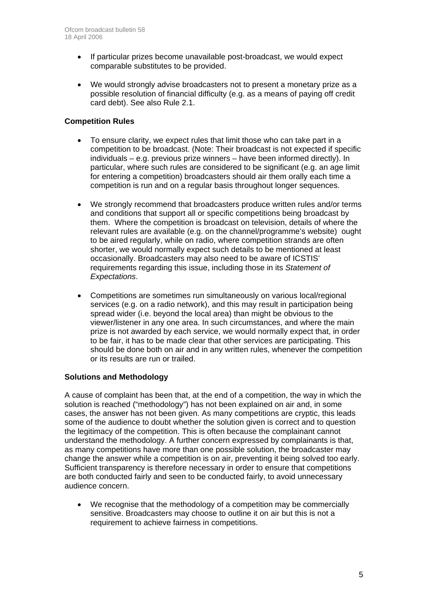- If particular prizes become unavailable post-broadcast, we would expect comparable substitutes to be provided.
- We would strongly advise broadcasters not to present a monetary prize as a possible resolution of financial difficulty (e.g. as a means of paying off credit card debt). See also Rule 2.1.

#### **Competition Rules**

- To ensure clarity, we expect rules that limit those who can take part in a competition to be broadcast. (Note: Their broadcast is not expected if specific individuals – e.g. previous prize winners – have been informed directly). In particular, where such rules are considered to be significant (e.g. an age limit for entering a competition) broadcasters should air them orally each time a competition is run and on a regular basis throughout longer sequences.
- We strongly recommend that broadcasters produce written rules and/or terms and conditions that support all or specific competitions being broadcast by them. Where the competition is broadcast on television, details of where the relevant rules are available (e.g. on the channel/programme's website) ought to be aired regularly, while on radio, where competition strands are often shorter, we would normally expect such details to be mentioned at least occasionally. Broadcasters may also need to be aware of ICSTIS' requirements regarding this issue, including those in its *Statement of Expectations*.
- Competitions are sometimes run simultaneously on various local/regional services (e.g. on a radio network), and this may result in participation being spread wider (i.e. beyond the local area) than might be obvious to the viewer/listener in any one area. In such circumstances, and where the main prize is not awarded by each service, we would normally expect that, in order to be fair, it has to be made clear that other services are participating. This should be done both on air and in any written rules, whenever the competition or its results are run or trailed.

#### **Solutions and Methodology**

A cause of complaint has been that, at the end of a competition, the way in which the solution is reached ("methodology") has not been explained on air and, in some cases, the answer has not been given. As many competitions are cryptic, this leads some of the audience to doubt whether the solution given is correct and to question the legitimacy of the competition. This is often because the complainant cannot understand the methodology. A further concern expressed by complainants is that, as many competitions have more than one possible solution, the broadcaster may change the answer while a competition is on air, preventing it being solved too early. Sufficient transparency is therefore necessary in order to ensure that competitions are both conducted fairly and seen to be conducted fairly, to avoid unnecessary audience concern.

• We recognise that the methodology of a competition may be commercially sensitive. Broadcasters may choose to outline it on air but this is not a requirement to achieve fairness in competitions.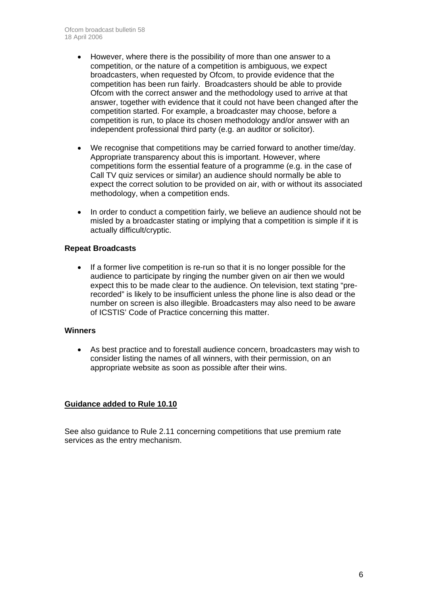- However, where there is the possibility of more than one answer to a competition, or the nature of a competition is ambiguous, we expect broadcasters, when requested by Ofcom, to provide evidence that the competition has been run fairly. Broadcasters should be able to provide Ofcom with the correct answer and the methodology used to arrive at that answer, together with evidence that it could not have been changed after the competition started. For example, a broadcaster may choose, before a competition is run, to place its chosen methodology and/or answer with an independent professional third party (e.g. an auditor or solicitor).
- We recognise that competitions may be carried forward to another time/day. Appropriate transparency about this is important. However, where competitions form the essential feature of a programme (e.g. in the case of Call TV quiz services or similar) an audience should normally be able to expect the correct solution to be provided on air, with or without its associated methodology, when a competition ends.
- In order to conduct a competition fairly, we believe an audience should not be misled by a broadcaster stating or implying that a competition is simple if it is actually difficult/cryptic.

#### **Repeat Broadcasts**

If a former live competition is re-run so that it is no longer possible for the audience to participate by ringing the number given on air then we would expect this to be made clear to the audience. On television, text stating "prerecorded" is likely to be insufficient unless the phone line is also dead or the number on screen is also illegible. Broadcasters may also need to be aware of ICSTIS' Code of Practice concerning this matter.

#### **Winners**

• As best practice and to forestall audience concern, broadcasters may wish to consider listing the names of all winners, with their permission, on an appropriate website as soon as possible after their wins.

#### **Guidance added to Rule 10.10**

See also guidance to Rule 2.11 concerning competitions that use premium rate services as the entry mechanism.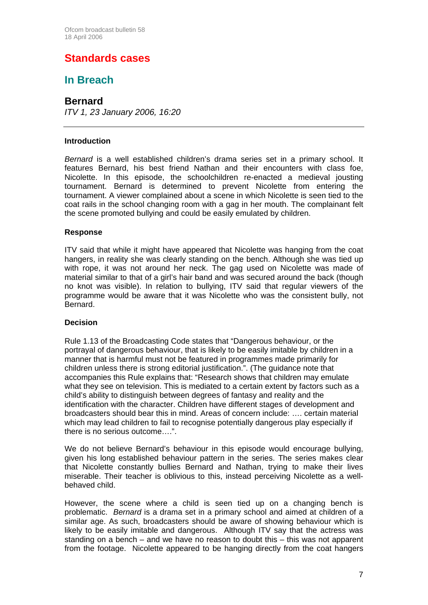### **Standards cases**

### **In Breach**

**Bernard** 

*ITV 1, 23 January 2006, 16:20*

#### **Introduction**

*Bernard* is a well established children's drama series set in a primary school. It features Bernard, his best friend Nathan and their encounters with class foe, Nicolette. In this episode, the schoolchildren re-enacted a medieval jousting tournament. Bernard is determined to prevent Nicolette from entering the tournament. A viewer complained about a scene in which Nicolette is seen tied to the coat rails in the school changing room with a gag in her mouth. The complainant felt the scene promoted bullying and could be easily emulated by children.

#### **Response**

ITV said that while it might have appeared that Nicolette was hanging from the coat hangers, in reality she was clearly standing on the bench. Although she was tied up with rope, it was not around her neck. The gag used on Nicolette was made of material similar to that of a girl's hair band and was secured around the back (though no knot was visible). In relation to bullying, ITV said that regular viewers of the programme would be aware that it was Nicolette who was the consistent bully, not Bernard.

#### **Decision**

Rule 1.13 of the Broadcasting Code states that "Dangerous behaviour, or the portrayal of dangerous behaviour, that is likely to be easily imitable by children in a manner that is harmful must not be featured in programmes made primarily for children unless there is strong editorial justification.". (The guidance note that accompanies this Rule explains that: "Research shows that children may emulate what they see on television. This is mediated to a certain extent by factors such as a child's ability to distinguish between degrees of fantasy and reality and the identification with the character. Children have different stages of development and broadcasters should bear this in mind. Areas of concern include: …. certain material which may lead children to fail to recognise potentially dangerous play especially if there is no serious outcome….".

We do not believe Bernard's behaviour in this episode would encourage bullying. given his long established behaviour pattern in the series. The series makes clear that Nicolette constantly bullies Bernard and Nathan, trying to make their lives miserable. Their teacher is oblivious to this, instead perceiving Nicolette as a wellbehaved child.

However, the scene where a child is seen tied up on a changing bench is problematic. *Bernard* is a drama set in a primary school and aimed at children of a similar age. As such, broadcasters should be aware of showing behaviour which is likely to be easily imitable and dangerous. Although ITV say that the actress was standing on a bench – and we have no reason to doubt this – this was not apparent from the footage. Nicolette appeared to be hanging directly from the coat hangers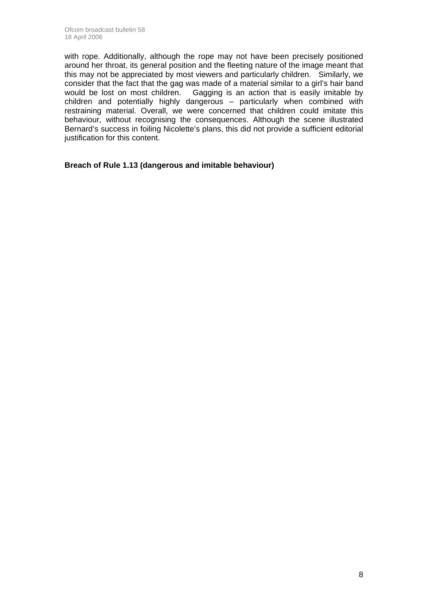with rope. Additionally, although the rope may not have been precisely positioned around her throat, its general position and the fleeting nature of the image meant that this may not be appreciated by most viewers and particularly children. Similarly, we consider that the fact that the gag was made of a material similar to a girl's hair band would be lost on most children. Gagging is an action that is easily imitable by children and potentially highly dangerous – particularly when combined with restraining material. Overall, we were concerned that children could imitate this behaviour, without recognising the consequences. Although the scene illustrated Bernard's success in foiling Nicolette's plans, this did not provide a sufficient editorial justification for this content.

**Breach of Rule 1.13 (dangerous and imitable behaviour)**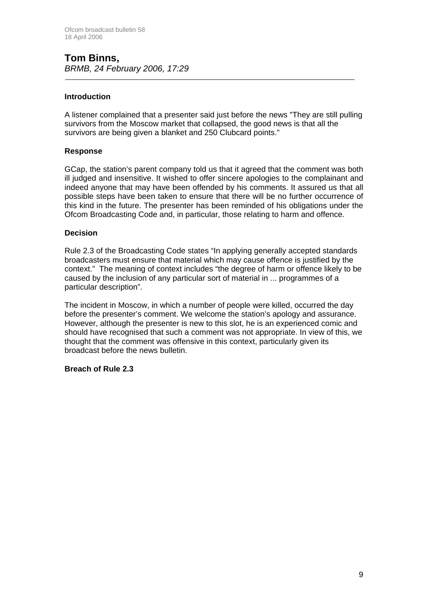#### **Tom Binns,**  *BRMB, 24 February 2006, 17:29*

#### **Introduction**

A listener complained that a presenter said just before the news "They are still pulling survivors from the Moscow market that collapsed, the good news is that all the survivors are being given a blanket and 250 Clubcard points."

#### **Response**

GCap, the station's parent company told us that it agreed that the comment was both ill judged and insensitive. It wished to offer sincere apologies to the complainant and indeed anyone that may have been offended by his comments. It assured us that all possible steps have been taken to ensure that there will be no further occurrence of this kind in the future. The presenter has been reminded of his obligations under the Ofcom Broadcasting Code and, in particular, those relating to harm and offence.

#### **Decision**

Rule 2.3 of the Broadcasting Code states "In applying generally accepted standards broadcasters must ensure that material which may cause offence is justified by the context." The meaning of context includes "the degree of harm or offence likely to be caused by the inclusion of any particular sort of material in ... programmes of a particular description".

The incident in Moscow, in which a number of people were killed, occurred the day before the presenter's comment. We welcome the station's apology and assurance. However, although the presenter is new to this slot, he is an experienced comic and should have recognised that such a comment was not appropriate. In view of this, we thought that the comment was offensive in this context, particularly given its broadcast before the news bulletin.

#### **Breach of Rule 2.3**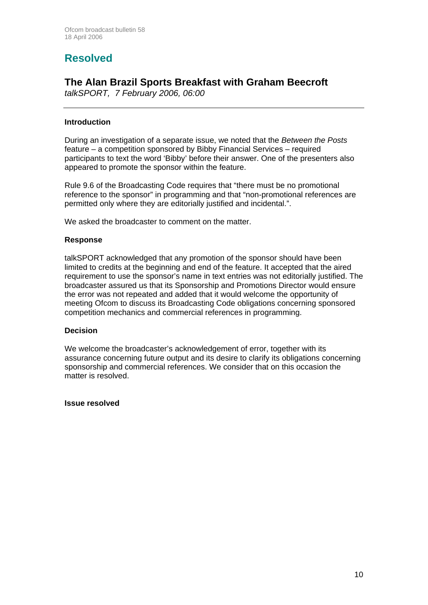# **Resolved**

### **The Alan Brazil Sports Breakfast with Graham Beecroft**

*talkSPORT, 7 February 2006, 06:00* 

#### **Introduction**

During an investigation of a separate issue, we noted that the *Between the Posts*  feature – a competition sponsored by Bibby Financial Services – required participants to text the word 'Bibby' before their answer. One of the presenters also appeared to promote the sponsor within the feature.

Rule 9.6 of the Broadcasting Code requires that "there must be no promotional reference to the sponsor" in programming and that "non-promotional references are permitted only where they are editorially justified and incidental.".

We asked the broadcaster to comment on the matter.

#### **Response**

talkSPORT acknowledged that any promotion of the sponsor should have been limited to credits at the beginning and end of the feature. It accepted that the aired requirement to use the sponsor's name in text entries was not editorially justified. The broadcaster assured us that its Sponsorship and Promotions Director would ensure the error was not repeated and added that it would welcome the opportunity of meeting Ofcom to discuss its Broadcasting Code obligations concerning sponsored competition mechanics and commercial references in programming.

#### **Decision**

We welcome the broadcaster's acknowledgement of error, together with its assurance concerning future output and its desire to clarify its obligations concerning sponsorship and commercial references. We consider that on this occasion the matter is resolved.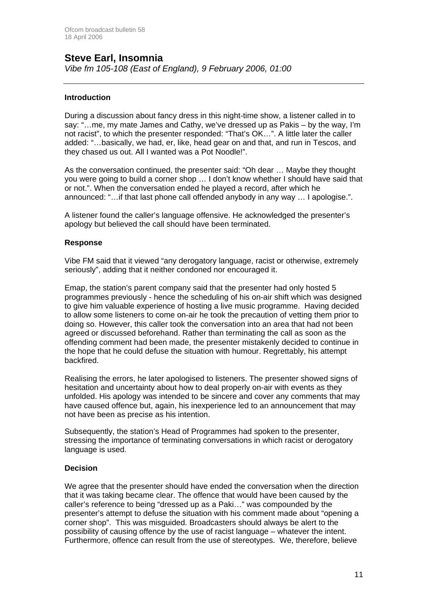### **Steve Earl, Insomnia**

*Vibe fm 105-108 (East of England), 9 February 2006, 01:00*

#### **Introduction**

During a discussion about fancy dress in this night-time show, a listener called in to say: "…me, my mate James and Cathy, we've dressed up as Pakis – by the way, I'm not racist", to which the presenter responded: "That's OK…". A little later the caller added: "…basically, we had, er, like, head gear on and that, and run in Tescos, and they chased us out. All I wanted was a Pot Noodle!".

As the conversation continued, the presenter said: "Oh dear … Maybe they thought you were going to build a corner shop … I don't know whether I should have said that or not.". When the conversation ended he played a record, after which he announced: "…if that last phone call offended anybody in any way … I apologise.".

A listener found the caller's language offensive. He acknowledged the presenter's apology but believed the call should have been terminated.

#### **Response**

Vibe FM said that it viewed "any derogatory language, racist or otherwise, extremely seriously", adding that it neither condoned nor encouraged it.

Emap, the station's parent company said that the presenter had only hosted 5 programmes previously - hence the scheduling of his on-air shift which was designed to give him valuable experience of hosting a live music programme. Having decided to allow some listeners to come on-air he took the precaution of vetting them prior to doing so. However, this caller took the conversation into an area that had not been agreed or discussed beforehand. Rather than terminating the call as soon as the offending comment had been made, the presenter mistakenly decided to continue in the hope that he could defuse the situation with humour. Regrettably, his attempt backfired.

Realising the errors, he later apologised to listeners. The presenter showed signs of hesitation and uncertainty about how to deal properly on-air with events as they unfolded. His apology was intended to be sincere and cover any comments that may have caused offence but, again, his inexperience led to an announcement that may not have been as precise as his intention.

Subsequently, the station's Head of Programmes had spoken to the presenter, stressing the importance of terminating conversations in which racist or derogatory language is used.

#### **Decision**

We agree that the presenter should have ended the conversation when the direction that it was taking became clear. The offence that would have been caused by the caller's reference to being "dressed up as a Paki…" was compounded by the presenter's attempt to defuse the situation with his comment made about "opening a corner shop". This was misguided. Broadcasters should always be alert to the possibility of causing offence by the use of racist language – whatever the intent. Furthermore, offence can result from the use of stereotypes. We, therefore, believe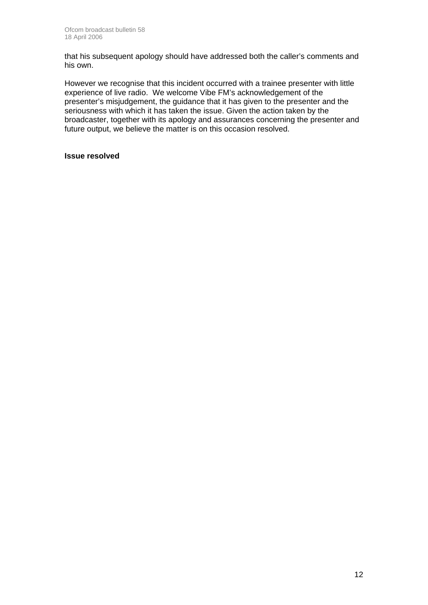that his subsequent apology should have addressed both the caller's comments and his own.

However we recognise that this incident occurred with a trainee presenter with little experience of live radio. We welcome Vibe FM's acknowledgement of the presenter's misjudgement, the guidance that it has given to the presenter and the seriousness with which it has taken the issue. Given the action taken by the broadcaster, together with its apology and assurances concerning the presenter and future output, we believe the matter is on this occasion resolved.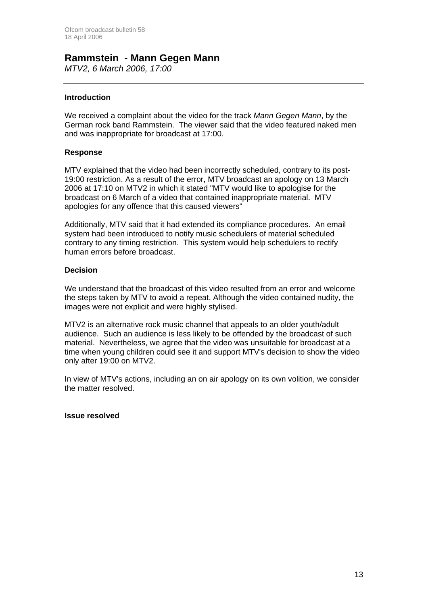### **Rammstein - Mann Gegen Mann**

*MTV2, 6 March 2006, 17:00*

#### **Introduction**

We received a complaint about the video for the track *Mann Gegen Mann*, by the German rock band Rammstein. The viewer said that the video featured naked men and was inappropriate for broadcast at 17:00.

#### **Response**

MTV explained that the video had been incorrectly scheduled, contrary to its post-19:00 restriction. As a result of the error, MTV broadcast an apology on 13 March 2006 at 17:10 on MTV2 in which it stated "MTV would like to apologise for the broadcast on 6 March of a video that contained inappropriate material. MTV apologies for any offence that this caused viewers"

Additionally, MTV said that it had extended its compliance procedures. An email system had been introduced to notify music schedulers of material scheduled contrary to any timing restriction. This system would help schedulers to rectify human errors before broadcast.

#### **Decision**

We understand that the broadcast of this video resulted from an error and welcome the steps taken by MTV to avoid a repeat. Although the video contained nudity, the images were not explicit and were highly stylised.

MTV2 is an alternative rock music channel that appeals to an older youth/adult audience. Such an audience is less likely to be offended by the broadcast of such material. Nevertheless, we agree that the video was unsuitable for broadcast at a time when young children could see it and support MTV's decision to show the video only after 19:00 on MTV2.

In view of MTV's actions, including an on air apology on its own volition, we consider the matter resolved.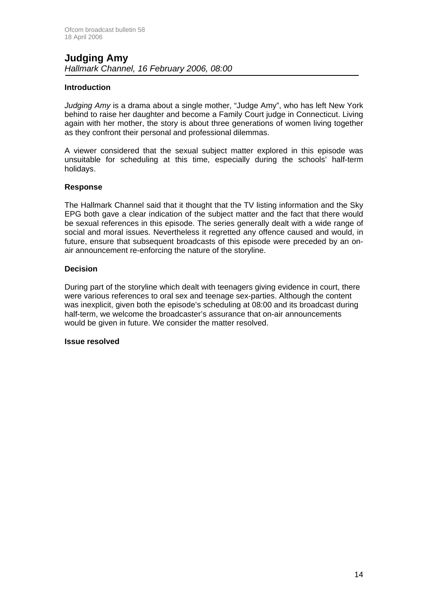#### **Judging Amy**  *Hallmark Channel, 16 February 2006, 08:00*

#### **Introduction**

*Judging Amy* is a drama about a single mother, "Judge Amy", who has left New York behind to raise her daughter and become a Family Court judge in Connecticut. Living again with her mother, the story is about three generations of women living together as they confront their personal and professional dilemmas.

A viewer considered that the sexual subject matter explored in this episode was unsuitable for scheduling at this time, especially during the schools' half-term holidays.

#### **Response**

The Hallmark Channel said that it thought that the TV listing information and the Sky EPG both gave a clear indication of the subject matter and the fact that there would be sexual references in this episode. The series generally dealt with a wide range of social and moral issues. Nevertheless it regretted any offence caused and would, in future, ensure that subsequent broadcasts of this episode were preceded by an onair announcement re-enforcing the nature of the storyline.

#### **Decision**

During part of the storyline which dealt with teenagers giving evidence in court, there were various references to oral sex and teenage sex-parties. Although the content was inexplicit, given both the episode's scheduling at 08:00 and its broadcast during half-term, we welcome the broadcaster's assurance that on-air announcements would be given in future. We consider the matter resolved.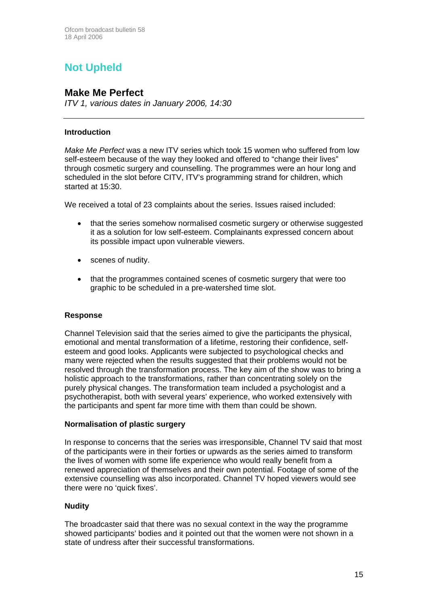# **Not Upheld**

### **Make Me Perfect**

*ITV 1, various dates in January 2006, 14:30*

#### **Introduction**

*Make Me Perfect* was a new ITV series which took 15 women who suffered from low self-esteem because of the way they looked and offered to "change their lives" through cosmetic surgery and counselling. The programmes were an hour long and scheduled in the slot before CITV, ITV's programming strand for children, which started at 15:30.

We received a total of 23 complaints about the series. Issues raised included:

- that the series somehow normalised cosmetic surgery or otherwise suggested it as a solution for low self-esteem. Complainants expressed concern about its possible impact upon vulnerable viewers.
- scenes of nudity.
- that the programmes contained scenes of cosmetic surgery that were too graphic to be scheduled in a pre-watershed time slot.

#### **Response**

Channel Television said that the series aimed to give the participants the physical, emotional and mental transformation of a lifetime, restoring their confidence, selfesteem and good looks. Applicants were subjected to psychological checks and many were rejected when the results suggested that their problems would not be resolved through the transformation process. The key aim of the show was to bring a holistic approach to the transformations, rather than concentrating solely on the purely physical changes. The transformation team included a psychologist and a psychotherapist, both with several years' experience, who worked extensively with the participants and spent far more time with them than could be shown.

#### **Normalisation of plastic surgery**

In response to concerns that the series was irresponsible, Channel TV said that most of the participants were in their forties or upwards as the series aimed to transform the lives of women with some life experience who would really benefit from a renewed appreciation of themselves and their own potential. Footage of some of the extensive counselling was also incorporated. Channel TV hoped viewers would see there were no 'quick fixes'.

#### **Nudity**

The broadcaster said that there was no sexual context in the way the programme showed participants' bodies and it pointed out that the women were not shown in a state of undress after their successful transformations.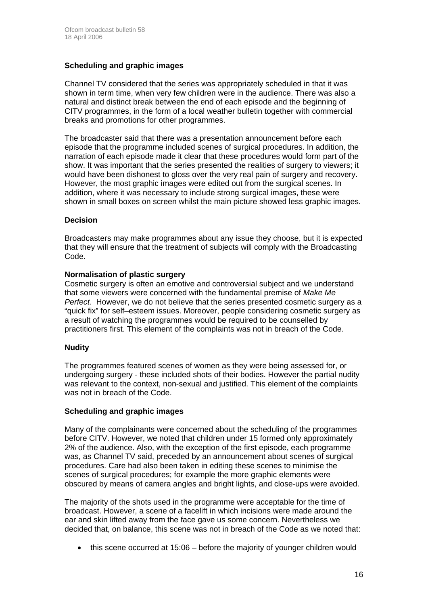#### **Scheduling and graphic images**

Channel TV considered that the series was appropriately scheduled in that it was shown in term time, when very few children were in the audience. There was also a natural and distinct break between the end of each episode and the beginning of CITV programmes, in the form of a local weather bulletin together with commercial breaks and promotions for other programmes.

The broadcaster said that there was a presentation announcement before each episode that the programme included scenes of surgical procedures. In addition, the narration of each episode made it clear that these procedures would form part of the show. It was important that the series presented the realities of surgery to viewers; it would have been dishonest to gloss over the very real pain of surgery and recovery. However, the most graphic images were edited out from the surgical scenes. In addition, where it was necessary to include strong surgical images, these were shown in small boxes on screen whilst the main picture showed less graphic images.

#### **Decision**

Broadcasters may make programmes about any issue they choose, but it is expected that they will ensure that the treatment of subjects will comply with the Broadcasting Code.

#### **Normalisation of plastic surgery**

Cosmetic surgery is often an emotive and controversial subject and we understand that some viewers were concerned with the fundamental premise of *Make Me Perfect.* However, we do not believe that the series presented cosmetic surgery as a "quick fix" for self–esteem issues. Moreover, people considering cosmetic surgery as a result of watching the programmes would be required to be counselled by practitioners first. This element of the complaints was not in breach of the Code.

#### **Nudity**

The programmes featured scenes of women as they were being assessed for, or undergoing surgery - these included shots of their bodies. However the partial nudity was relevant to the context, non-sexual and justified. This element of the complaints was not in breach of the Code.

#### **Scheduling and graphic images**

Many of the complainants were concerned about the scheduling of the programmes before CITV. However, we noted that children under 15 formed only approximately 2% of the audience. Also, with the exception of the first episode, each programme was, as Channel TV said, preceded by an announcement about scenes of surgical procedures. Care had also been taken in editing these scenes to minimise the scenes of surgical procedures; for example the more graphic elements were obscured by means of camera angles and bright lights, and close-ups were avoided.

The majority of the shots used in the programme were acceptable for the time of broadcast. However, a scene of a facelift in which incisions were made around the ear and skin lifted away from the face gave us some concern. Nevertheless we decided that, on balance, this scene was not in breach of the Code as we noted that:

• this scene occurred at 15:06 – before the majority of younger children would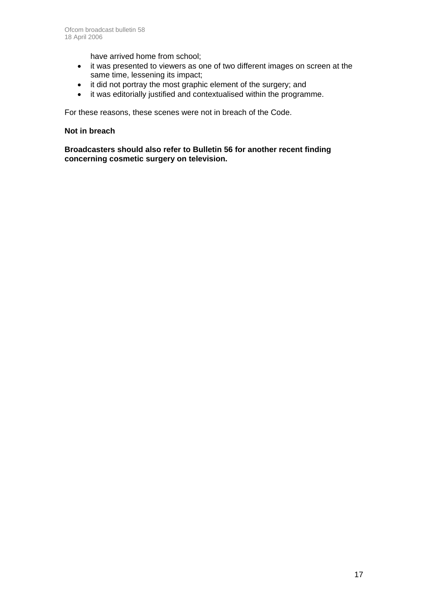have arrived home from school;

- it was presented to viewers as one of two different images on screen at the same time, lessening its impact;
- it did not portray the most graphic element of the surgery; and
- it was editorially justified and contextualised within the programme.

For these reasons, these scenes were not in breach of the Code.

#### **Not in breach**

**Broadcasters should also refer to Bulletin 56 for another recent finding concerning cosmetic surgery on television.**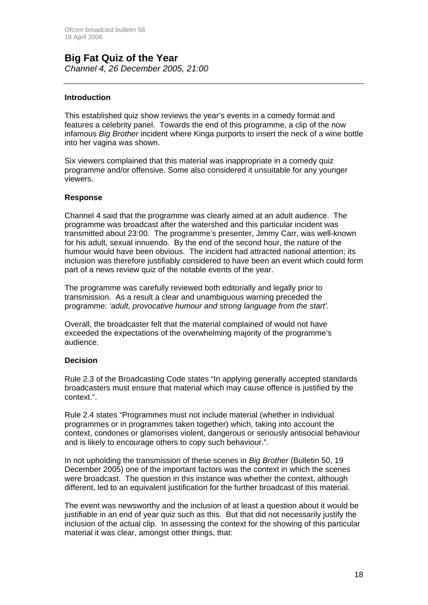#### **Big Fat Quiz of the Year**  *Channel 4, 26 December 2005, 21:00*

#### **Introduction**

This established quiz show reviews the year's events in a comedy format and features a celebrity panel. Towards the end of this programme, a clip of the now infamous *Big Brother* incident where Kinga purports to insert the neck of a wine bottle into her vagina was shown.

Six viewers complained that this material was inappropriate in a comedy quiz programme and/or offensive. Some also considered it unsuitable for any younger viewers.

#### **Response**

Channel 4 said that the programme was clearly aimed at an adult audience. The programme was broadcast after the watershed and this particular incident was transmitted about 23:00. The programme's presenter, Jimmy Carr, was well-known for his adult, sexual innuendo. By the end of the second hour, the nature of the humour would have been obvious. The incident had attracted national attention; its inclusion was therefore justifiably considered to have been an event which could form part of a news review quiz of the notable events of the year.

The programme was carefully reviewed both editorially and legally prior to transmission. As a result a clear and unambiguous warning preceded the programme: *'adult, provocative humour and strong language from the start'.*

Overall, the broadcaster felt that the material complained of would not have exceeded the expectations of the overwhelming majority of the programme's audience.

#### **Decision**

Rule 2.3 of the Broadcasting Code states "In applying generally accepted standards broadcasters must ensure that material which may cause offence is justified by the context.".

Rule 2.4 states "Programmes must not include material (whether in individual programmes or in programmes taken together) which, taking into account the context, condones or glamorises violent, dangerous or seriously antisocial behaviour and is likely to encourage others to copy such behaviour.".

In not upholding the transmission of these scenes in *Big Brother* (Bulletin 50, 19 December 2005) one of the important factors was the context in which the scenes were broadcast. The question in this instance was whether the context, although different, led to an equivalent justification for the further broadcast of this material.

The event was newsworthy and the inclusion of at least a question about it would be justifiable in an end of year quiz such as this. But that did not necessarily justify the inclusion of the actual clip. In assessing the context for the showing of this particular material it was clear, amongst other things, that: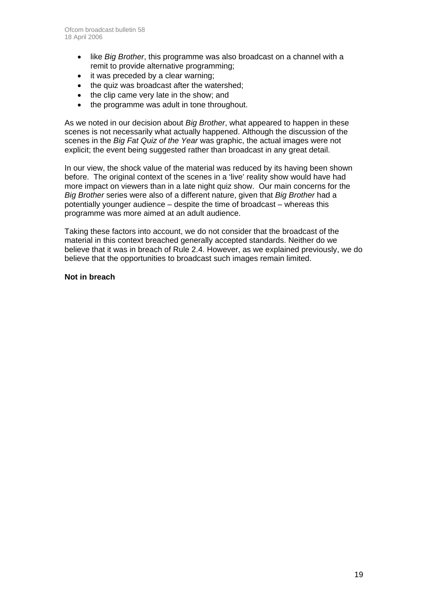- like *Big Brother*, this programme was also broadcast on a channel with a remit to provide alternative programming;
- it was preceded by a clear warning:
- the quiz was broadcast after the watershed:
- the clip came very late in the show; and
- the programme was adult in tone throughout.

As we noted in our decision about *Big Brother*, what appeared to happen in these scenes is not necessarily what actually happened. Although the discussion of the scenes in the *Big Fat Quiz of the Year* was graphic, the actual images were not explicit; the event being suggested rather than broadcast in any great detail.

In our view, the shock value of the material was reduced by its having been shown before. The original context of the scenes in a 'live' reality show would have had more impact on viewers than in a late night quiz show. Our main concerns for the *Big Brother* series were also of a different nature, given that *Big Brother* had a potentially younger audience – despite the time of broadcast – whereas this programme was more aimed at an adult audience.

Taking these factors into account, we do not consider that the broadcast of the material in this context breached generally accepted standards. Neither do we believe that it was in breach of Rule 2.4. However, as we explained previously, we do believe that the opportunities to broadcast such images remain limited.

#### **Not in breach**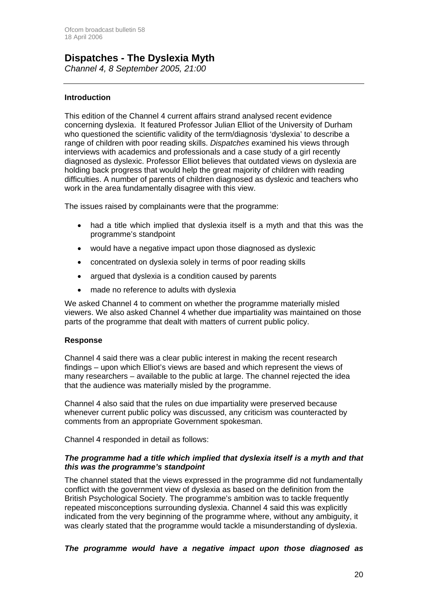# **Dispatches - The Dyslexia Myth**

*Channel 4, 8 September 2005, 21:00*

#### **Introduction**

This edition of the Channel 4 current affairs strand analysed recent evidence concerning dyslexia. It featured Professor Julian Elliot of the University of Durham who questioned the scientific validity of the term/diagnosis 'dyslexia' to describe a range of children with poor reading skills. *Dispatches* examined his views through interviews with academics and professionals and a case study of a girl recently diagnosed as dyslexic. Professor Elliot believes that outdated views on dyslexia are holding back progress that would help the great majority of children with reading difficulties. A number of parents of children diagnosed as dyslexic and teachers who work in the area fundamentally disagree with this view.

The issues raised by complainants were that the programme:

- had a title which implied that dyslexia itself is a myth and that this was the programme's standpoint
- would have a negative impact upon those diagnosed as dyslexic
- concentrated on dyslexia solely in terms of poor reading skills
- argued that dyslexia is a condition caused by parents
- made no reference to adults with dyslexia

We asked Channel 4 to comment on whether the programme materially misled viewers. We also asked Channel 4 whether due impartiality was maintained on those parts of the programme that dealt with matters of current public policy.

#### **Response**

Channel 4 said there was a clear public interest in making the recent research findings – upon which Elliot's views are based and which represent the views of many researchers – available to the public at large. The channel rejected the idea that the audience was materially misled by the programme.

Channel 4 also said that the rules on due impartiality were preserved because whenever current public policy was discussed, any criticism was counteracted by comments from an appropriate Government spokesman.

Channel 4 responded in detail as follows:

#### *The programme had a title which implied that dyslexia itself is a myth and that this was the programme's standpoint*

The channel stated that the views expressed in the programme did not fundamentally conflict with the government view of dyslexia as based on the definition from the British Psychological Society. The programme's ambition was to tackle frequently repeated misconceptions surrounding dyslexia. Channel 4 said this was explicitly indicated from the very beginning of the programme where, without any ambiguity, it was clearly stated that the programme would tackle a misunderstanding of dyslexia.

#### *The programme would have a negative impact upon those diagnosed as*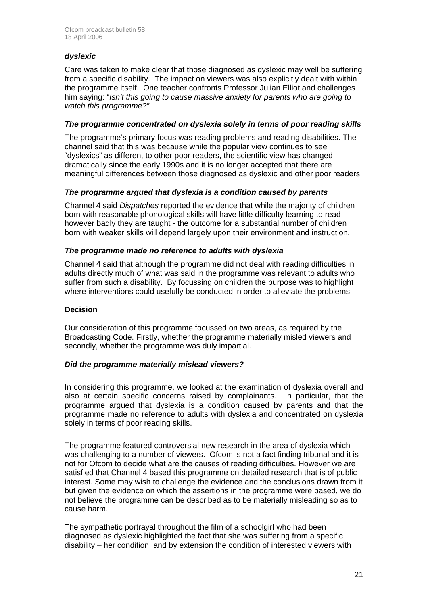#### *dyslexic*

Care was taken to make clear that those diagnosed as dyslexic may well be suffering from a specific disability. The impact on viewers was also explicitly dealt with within the programme itself. One teacher confronts Professor Julian Elliot and challenges him saying: "*Isn't this going to cause massive anxiety for parents who are going to watch this programme?".*

#### *The programme concentrated on dyslexia solely in terms of poor reading skills*

The programme's primary focus was reading problems and reading disabilities. The channel said that this was because while the popular view continues to see "dyslexics" as different to other poor readers, the scientific view has changed dramatically since the early 1990s and it is no longer accepted that there are meaningful differences between those diagnosed as dyslexic and other poor readers.

#### *The programme argued that dyslexia is a condition caused by parents*

Channel 4 said *Dispatches* reported the evidence that while the majority of children born with reasonable phonological skills will have little difficulty learning to read however badly they are taught - the outcome for a substantial number of children born with weaker skills will depend largely upon their environment and instruction.

#### *The programme made no reference to adults with dyslexia*

Channel 4 said that although the programme did not deal with reading difficulties in adults directly much of what was said in the programme was relevant to adults who suffer from such a disability. By focussing on children the purpose was to highlight where interventions could usefully be conducted in order to alleviate the problems.

#### **Decision**

Our consideration of this programme focussed on two areas, as required by the Broadcasting Code. Firstly, whether the programme materially misled viewers and secondly, whether the programme was duly impartial.

#### *Did the programme materially mislead viewers?*

In considering this programme, we looked at the examination of dyslexia overall and also at certain specific concerns raised by complainants. In particular, that the programme argued that dyslexia is a condition caused by parents and that the programme made no reference to adults with dyslexia and concentrated on dyslexia solely in terms of poor reading skills.

The programme featured controversial new research in the area of dyslexia which was challenging to a number of viewers. Ofcom is not a fact finding tribunal and it is not for Ofcom to decide what are the causes of reading difficulties. However we are satisfied that Channel 4 based this programme on detailed research that is of public interest. Some may wish to challenge the evidence and the conclusions drawn from it but given the evidence on which the assertions in the programme were based, we do not believe the programme can be described as to be materially misleading so as to cause harm.

The sympathetic portrayal throughout the film of a schoolgirl who had been diagnosed as dyslexic highlighted the fact that she was suffering from a specific disability – her condition, and by extension the condition of interested viewers with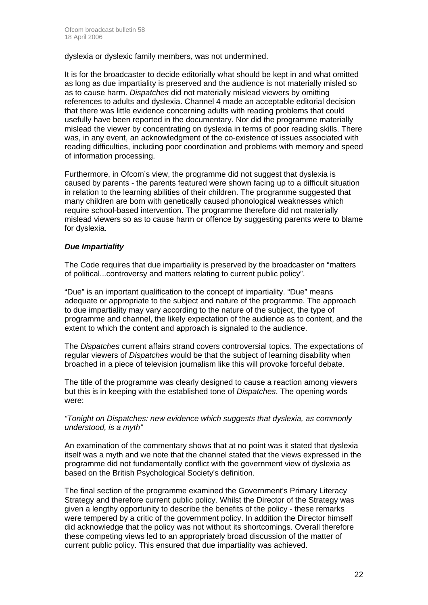dyslexia or dyslexic family members, was not undermined.

It is for the broadcaster to decide editorially what should be kept in and what omitted as long as due impartiality is preserved and the audience is not materially misled so as to cause harm. *Dispatches* did not materially mislead viewers by omitting references to adults and dyslexia. Channel 4 made an acceptable editorial decision that there was little evidence concerning adults with reading problems that could usefully have been reported in the documentary. Nor did the programme materially mislead the viewer by concentrating on dyslexia in terms of poor reading skills. There was, in any event, an acknowledgment of the co-existence of issues associated with reading difficulties, including poor coordination and problems with memory and speed of information processing.

Furthermore, in Ofcom's view, the programme did not suggest that dyslexia is caused by parents - the parents featured were shown facing up to a difficult situation in relation to the learning abilities of their children. The programme suggested that many children are born with genetically caused phonological weaknesses which require school-based intervention. The programme therefore did not materially mislead viewers so as to cause harm or offence by suggesting parents were to blame for dyslexia.

#### *Due Impartiality*

The Code requires that due impartiality is preserved by the broadcaster on "matters of political...controversy and matters relating to current public policy".

"Due" is an important qualification to the concept of impartiality. "Due" means adequate or appropriate to the subject and nature of the programme. The approach to due impartiality may vary according to the nature of the subject, the type of programme and channel, the likely expectation of the audience as to content, and the extent to which the content and approach is signaled to the audience.

The *Dispatches* current affairs strand covers controversial topics. The expectations of regular viewers of *Dispatches* would be that the subject of learning disability when broached in a piece of television journalism like this will provoke forceful debate.

The title of the programme was clearly designed to cause a reaction among viewers but this is in keeping with the established tone of *Dispatches*. The opening words were:

#### *"Tonight on Dispatches: new evidence which suggests that dyslexia, as commonly understood, is a myth"*

An examination of the commentary shows that at no point was it stated that dyslexia itself was a myth and we note that the channel stated that the views expressed in the programme did not fundamentally conflict with the government view of dyslexia as based on the British Psychological Society's definition.

The final section of the programme examined the Government's Primary Literacy Strategy and therefore current public policy. Whilst the Director of the Strategy was given a lengthy opportunity to describe the benefits of the policy - these remarks were tempered by a critic of the government policy. In addition the Director himself did acknowledge that the policy was not without its shortcomings. Overall therefore these competing views led to an appropriately broad discussion of the matter of current public policy. This ensured that due impartiality was achieved.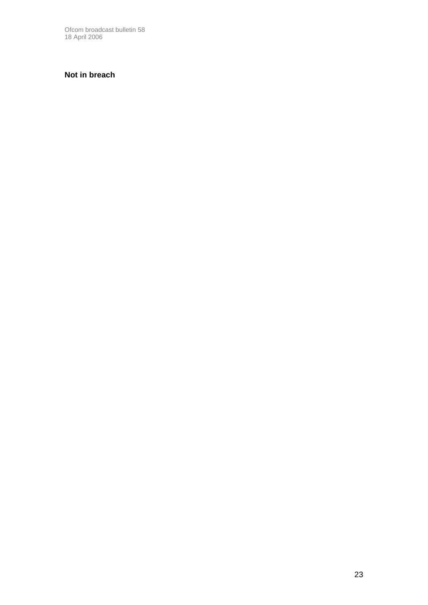Ofcom broadcast bulletin 58 18 April 2006

#### **Not in breach**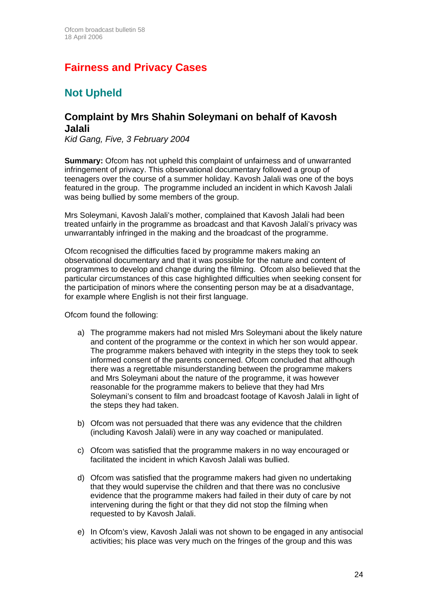# **Fairness and Privacy Cases**

# **Not Upheld**

### **Complaint by Mrs Shahin Soleymani on behalf of Kavosh Jalali**

*Kid Gang, Five, 3 February 2004* 

**Summary:** Ofcom has not upheld this complaint of unfairness and of unwarranted infringement of privacy. This observational documentary followed a group of teenagers over the course of a summer holiday. Kavosh Jalali was one of the boys featured in the group. The programme included an incident in which Kavosh Jalali was being bullied by some members of the group.

Mrs Soleymani, Kavosh Jalali's mother, complained that Kavosh Jalali had been treated unfairly in the programme as broadcast and that Kavosh Jalali's privacy was unwarrantably infringed in the making and the broadcast of the programme.

Ofcom recognised the difficulties faced by programme makers making an observational documentary and that it was possible for the nature and content of programmes to develop and change during the filming. Ofcom also believed that the particular circumstances of this case highlighted difficulties when seeking consent for the participation of minors where the consenting person may be at a disadvantage, for example where English is not their first language.

Ofcom found the following:

- a) The programme makers had not misled Mrs Soleymani about the likely nature and content of the programme or the context in which her son would appear. The programme makers behaved with integrity in the steps they took to seek informed consent of the parents concerned. Ofcom concluded that although there was a regrettable misunderstanding between the programme makers and Mrs Soleymani about the nature of the programme, it was however reasonable for the programme makers to believe that they had Mrs Soleymani's consent to film and broadcast footage of Kavosh Jalali in light of the steps they had taken.
- b) Ofcom was not persuaded that there was any evidence that the children (including Kavosh Jalali) were in any way coached or manipulated.
- c) Ofcom was satisfied that the programme makers in no way encouraged or facilitated the incident in which Kavosh Jalali was bullied.
- d) Ofcom was satisfied that the programme makers had given no undertaking that they would supervise the children and that there was no conclusive evidence that the programme makers had failed in their duty of care by not intervening during the fight or that they did not stop the filming when requested to by Kavosh Jalali.
- e) In Ofcom's view, Kavosh Jalali was not shown to be engaged in any antisocial activities; his place was very much on the fringes of the group and this was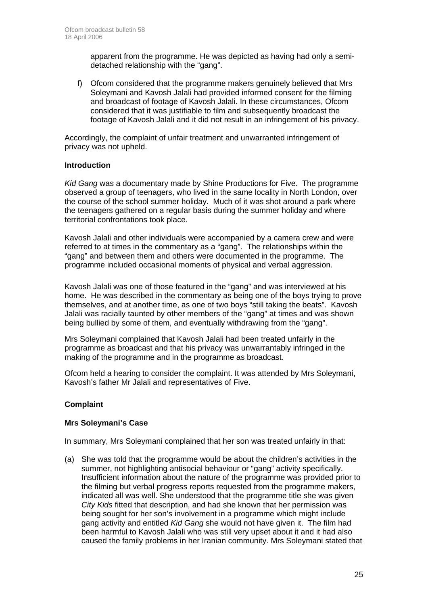apparent from the programme. He was depicted as having had only a semidetached relationship with the "gang".

f) Ofcom considered that the programme makers genuinely believed that Mrs Soleymani and Kavosh Jalali had provided informed consent for the filming and broadcast of footage of Kavosh Jalali. In these circumstances, Ofcom considered that it was justifiable to film and subsequently broadcast the footage of Kavosh Jalali and it did not result in an infringement of his privacy.

Accordingly, the complaint of unfair treatment and unwarranted infringement of privacy was not upheld.

#### **Introduction**

 *Kid Gang* was a documentary made by Shine Productions for Five. The programme observed a group of teenagers, who lived in the same locality in North London, over the course of the school summer holiday. Much of it was shot around a park where the teenagers gathered on a regular basis during the summer holiday and where territorial confrontations took place.

 Kavosh Jalali and other individuals were accompanied by a camera crew and were referred to at times in the commentary as a "gang". The relationships within the "gang" and between them and others were documented in the programme. The programme included occasional moments of physical and verbal aggression.

Kavosh Jalali was one of those featured in the "gang" and was interviewed at his home. He was described in the commentary as being one of the boys trying to prove themselves, and at another time, as one of two boys "still taking the beats". Kavosh Jalali was racially taunted by other members of the "gang" at times and was shown being bullied by some of them, and eventually withdrawing from the "gang".

Mrs Soleymani complained that Kavosh Jalali had been treated unfairly in the programme as broadcast and that his privacy was unwarrantably infringed in the making of the programme and in the programme as broadcast.

Ofcom held a hearing to consider the complaint. It was attended by Mrs Soleymani, Kavosh's father Mr Jalali and representatives of Five.

#### **Complaint**

#### **Mrs Soleymani's Case**

In summary, Mrs Soleymani complained that her son was treated unfairly in that:

(a) She was told that the programme would be about the children's activities in the summer, not highlighting antisocial behaviour or "gang" activity specifically. Insufficient information about the nature of the programme was provided prior to the filming but verbal progress reports requested from the programme makers, indicated all was well. She understood that the programme title she was given *City Kids* fitted that description, and had she known that her permission was being sought for her son's involvement in a programme which might include gang activity and entitled *Kid Gang* she would not have given it. The film had been harmful to Kavosh Jalali who was still very upset about it and it had also caused the family problems in her Iranian community. Mrs Soleymani stated that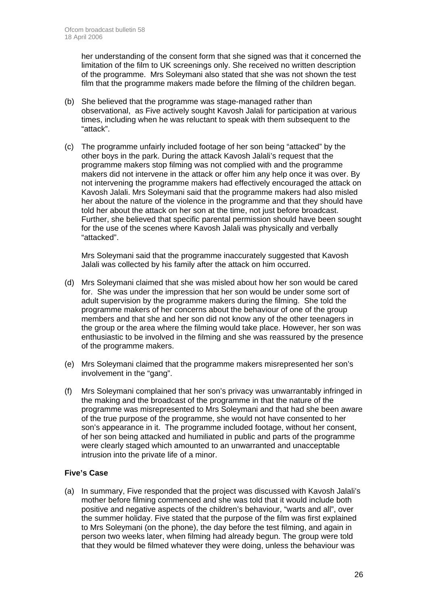her understanding of the consent form that she signed was that it concerned the limitation of the film to UK screenings only. She received no written description of the programme. Mrs Soleymani also stated that she was not shown the test film that the programme makers made before the filming of the children began.

- (b) She believed that the programme was stage-managed rather than observational, as Five actively sought Kavosh Jalali for participation at various times, including when he was reluctant to speak with them subsequent to the "attack".
- (c) The programme unfairly included footage of her son being "attacked" by the other boys in the park. During the attack Kavosh Jalali's request that the programme makers stop filming was not complied with and the programme makers did not intervene in the attack or offer him any help once it was over. By not intervening the programme makers had effectively encouraged the attack on Kavosh Jalali. Mrs Soleymani said that the programme makers had also misled her about the nature of the violence in the programme and that they should have told her about the attack on her son at the time, not just before broadcast. Further, she believed that specific parental permission should have been sought for the use of the scenes where Kavosh Jalali was physically and verbally "attacked".

Mrs Soleymani said that the programme inaccurately suggested that Kavosh Jalali was collected by his family after the attack on him occurred.

- (d) Mrs Soleymani claimed that she was misled about how her son would be cared for. She was under the impression that her son would be under some sort of adult supervision by the programme makers during the filming. She told the programme makers of her concerns about the behaviour of one of the group members and that she and her son did not know any of the other teenagers in the group or the area where the filming would take place. However, her son was enthusiastic to be involved in the filming and she was reassured by the presence of the programme makers.
- (e) Mrs Soleymani claimed that the programme makers misrepresented her son's involvement in the "gang".
- (f) Mrs Soleymani complained that her son's privacy was unwarrantably infringed in the making and the broadcast of the programme in that the nature of the programme was misrepresented to Mrs Soleymani and that had she been aware of the true purpose of the programme, she would not have consented to her son's appearance in it. The programme included footage, without her consent, of her son being attacked and humiliated in public and parts of the programme were clearly staged which amounted to an unwarranted and unacceptable intrusion into the private life of a minor.

#### **Five's Case**

(a) In summary, Five responded that the project was discussed with Kavosh Jalali's mother before filming commenced and she was told that it would include both positive and negative aspects of the children's behaviour, "warts and all", over the summer holiday. Five stated that the purpose of the film was first explained to Mrs Soleymani (on the phone), the day before the test filming, and again in person two weeks later, when filming had already begun. The group were told that they would be filmed whatever they were doing, unless the behaviour was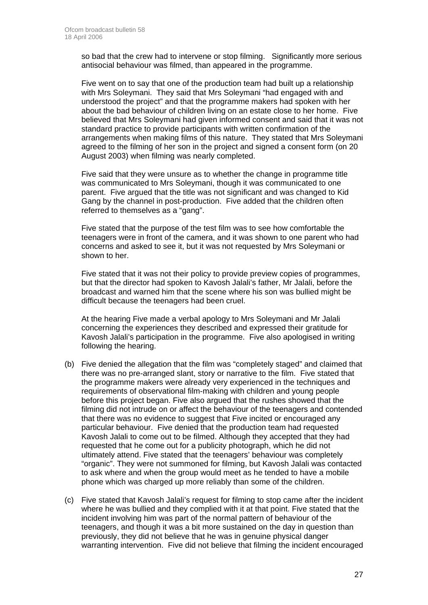so bad that the crew had to intervene or stop filming. Significantly more serious antisocial behaviour was filmed, than appeared in the programme.

Five went on to say that one of the production team had built up a relationship with Mrs Soleymani. They said that Mrs Soleymani "had engaged with and understood the project" and that the programme makers had spoken with her about the bad behaviour of children living on an estate close to her home. Five believed that Mrs Soleymani had given informed consent and said that it was not standard practice to provide participants with written confirmation of the arrangements when making films of this nature. They stated that Mrs Soleymani agreed to the filming of her son in the project and signed a consent form (on 20 August 2003) when filming was nearly completed.

 Five said that they were unsure as to whether the change in programme title was communicated to Mrs Soleymani, though it was communicated to one parent. Five argued that the title was not significant and was changed to Kid Gang by the channel in post-production. Five added that the children often referred to themselves as a "gang".

 Five stated that the purpose of the test film was to see how comfortable the teenagers were in front of the camera, and it was shown to one parent who had concerns and asked to see it, but it was not requested by Mrs Soleymani or shown to her.

Five stated that it was not their policy to provide preview copies of programmes, but that the director had spoken to Kavosh Jalali's father, Mr Jalali, before the broadcast and warned him that the scene where his son was bullied might be difficult because the teenagers had been cruel.

At the hearing Five made a verbal apology to Mrs Soleymani and Mr Jalali concerning the experiences they described and expressed their gratitude for Kavosh Jalali's participation in the programme. Five also apologised in writing following the hearing.

- (b) Five denied the allegation that the film was "completely staged" and claimed that there was no pre-arranged slant, story or narrative to the film. Five stated that the programme makers were already very experienced in the techniques and requirements of observational film-making with children and young people before this project began. Five also argued that the rushes showed that the filming did not intrude on or affect the behaviour of the teenagers and contended that there was no evidence to suggest that Five incited or encouraged any particular behaviour. Five denied that the production team had requested Kavosh Jalali to come out to be filmed. Although they accepted that they had requested that he come out for a publicity photograph, which he did not ultimately attend. Five stated that the teenagers' behaviour was completely "organic". They were not summoned for filming, but Kavosh Jalali was contacted to ask where and when the group would meet as he tended to have a mobile phone which was charged up more reliably than some of the children.
- (c) Five stated that Kavosh Jalali's request for filming to stop came after the incident where he was bullied and they complied with it at that point. Five stated that the incident involving him was part of the normal pattern of behaviour of the teenagers, and though it was a bit more sustained on the day in question than previously, they did not believe that he was in genuine physical danger warranting intervention. Five did not believe that filming the incident encouraged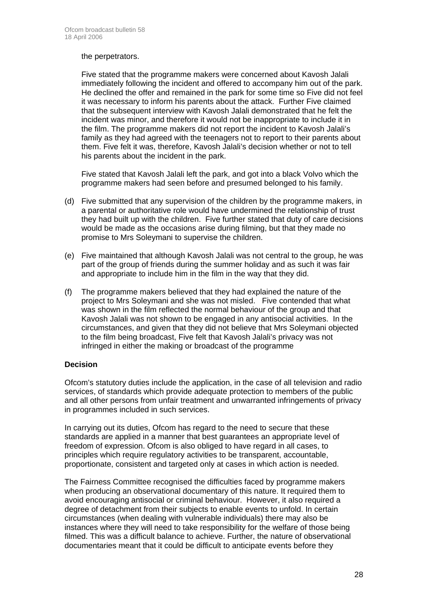#### the perpetrators.

Five stated that the programme makers were concerned about Kavosh Jalali immediately following the incident and offered to accompany him out of the park. He declined the offer and remained in the park for some time so Five did not feel it was necessary to inform his parents about the attack. Further Five claimed that the subsequent interview with Kavosh Jalali demonstrated that he felt the incident was minor, and therefore it would not be inappropriate to include it in the film. The programme makers did not report the incident to Kavosh Jalali's family as they had agreed with the teenagers not to report to their parents about them. Five felt it was, therefore, Kavosh Jalali's decision whether or not to tell his parents about the incident in the park.

 Five stated that Kavosh Jalali left the park, and got into a black Volvo which the programme makers had seen before and presumed belonged to his family.

- (d) Five submitted that any supervision of the children by the programme makers, in a parental or authoritative role would have undermined the relationship of trust they had built up with the children. Five further stated that duty of care decisions would be made as the occasions arise during filming, but that they made no promise to Mrs Soleymani to supervise the children.
- (e) Five maintained that although Kavosh Jalali was not central to the group, he was part of the group of friends during the summer holiday and as such it was fair and appropriate to include him in the film in the way that they did.
- (f) The programme makers believed that they had explained the nature of the project to Mrs Soleymani and she was not misled. Five contended that what was shown in the film reflected the normal behaviour of the group and that Kavosh Jalali was not shown to be engaged in any antisocial activities. In the circumstances, and given that they did not believe that Mrs Soleymani objected to the film being broadcast, Five felt that Kavosh Jalali's privacy was not infringed in either the making or broadcast of the programme

#### **Decision**

Ofcom's statutory duties include the application, in the case of all television and radio services, of standards which provide adequate protection to members of the public and all other persons from unfair treatment and unwarranted infringements of privacy in programmes included in such services.

In carrying out its duties, Ofcom has regard to the need to secure that these standards are applied in a manner that best guarantees an appropriate level of freedom of expression. Ofcom is also obliged to have regard in all cases, to principles which require regulatory activities to be transparent, accountable, proportionate, consistent and targeted only at cases in which action is needed.

The Fairness Committee recognised the difficulties faced by programme makers when producing an observational documentary of this nature. It required them to avoid encouraging antisocial or criminal behaviour. However, it also required a degree of detachment from their subjects to enable events to unfold. In certain circumstances (when dealing with vulnerable individuals) there may also be instances where they will need to take responsibility for the welfare of those being filmed. This was a difficult balance to achieve. Further, the nature of observational documentaries meant that it could be difficult to anticipate events before they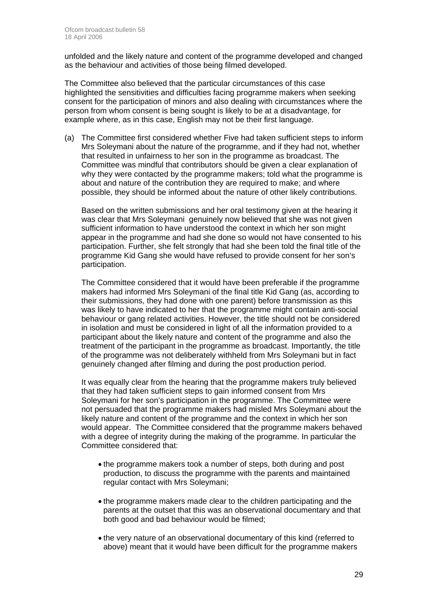unfolded and the likely nature and content of the programme developed and changed as the behaviour and activities of those being filmed developed.

The Committee also believed that the particular circumstances of this case highlighted the sensitivities and difficulties facing programme makers when seeking consent for the participation of minors and also dealing with circumstances where the person from whom consent is being sought is likely to be at a disadvantage, for example where, as in this case, English may not be their first language.

(a) The Committee first considered whether Five had taken sufficient steps to inform Mrs Soleymani about the nature of the programme, and if they had not, whether that resulted in unfairness to her son in the programme as broadcast. The Committee was mindful that contributors should be given a clear explanation of why they were contacted by the programme makers; told what the programme is about and nature of the contribution they are required to make; and where possible, they should be informed about the nature of other likely contributions.

Based on the written submissions and her oral testimony given at the hearing it was clear that Mrs Soleymani genuinely now believed that she was not given sufficient information to have understood the context in which her son might appear in the programme and had she done so would not have consented to his participation. Further, she felt strongly that had she been told the final title of the programme Kid Gang she would have refused to provide consent for her son's participation.

The Committee considered that it would have been preferable if the programme makers had informed Mrs Soleymani of the final title Kid Gang (as, according to their submissions, they had done with one parent) before transmission as this was likely to have indicated to her that the programme might contain anti-social behaviour or gang related activities. However, the title should not be considered in isolation and must be considered in light of all the information provided to a participant about the likely nature and content of the programme and also the treatment of the participant in the programme as broadcast. Importantly, the title of the programme was not deliberately withheld from Mrs Soleymani but in fact genuinely changed after filming and during the post production period.

It was equally clear from the hearing that the programme makers truly believed that they had taken sufficient steps to gain informed consent from Mrs Soleymani for her son's participation in the programme. The Committee were not persuaded that the programme makers had misled Mrs Soleymani about the likely nature and content of the programme and the context in which her son would appear. The Committee considered that the programme makers behaved with a degree of integrity during the making of the programme. In particular the Committee considered that:

- the programme makers took a number of steps, both during and post production, to discuss the programme with the parents and maintained regular contact with Mrs Soleymani;
- the programme makers made clear to the children participating and the parents at the outset that this was an observational documentary and that both good and bad behaviour would be filmed;
- the very nature of an observational documentary of this kind (referred to above) meant that it would have been difficult for the programme makers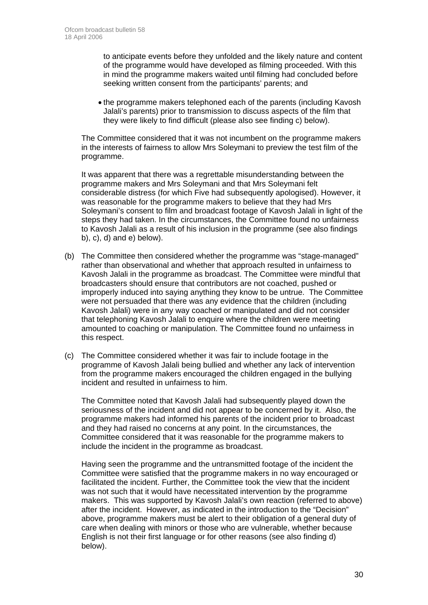to anticipate events before they unfolded and the likely nature and content of the programme would have developed as filming proceeded. With this in mind the programme makers waited until filming had concluded before seeking written consent from the participants' parents; and

• the programme makers telephoned each of the parents (including Kavosh Jalali's parents) prior to transmission to discuss aspects of the film that they were likely to find difficult (please also see finding c) below).

The Committee considered that it was not incumbent on the programme makers in the interests of fairness to allow Mrs Soleymani to preview the test film of the programme.

It was apparent that there was a regrettable misunderstanding between the programme makers and Mrs Soleymani and that Mrs Soleymani felt considerable distress (for which Five had subsequently apologised). However, it was reasonable for the programme makers to believe that they had Mrs Soleymani's consent to film and broadcast footage of Kavosh Jalali in light of the steps they had taken. In the circumstances, the Committee found no unfairness to Kavosh Jalali as a result of his inclusion in the programme (see also findings b), c), d) and e) below).

- (b) The Committee then considered whether the programme was "stage-managed" rather than observational and whether that approach resulted in unfairness to Kavosh Jalali in the programme as broadcast. The Committee were mindful that broadcasters should ensure that contributors are not coached, pushed or improperly induced into saying anything they know to be untrue. The Committee were not persuaded that there was any evidence that the children (including Kavosh Jalali) were in any way coached or manipulated and did not consider that telephoning Kavosh Jalali to enquire where the children were meeting amounted to coaching or manipulation. The Committee found no unfairness in this respect.
- (c) The Committee considered whether it was fair to include footage in the programme of Kavosh Jalali being bullied and whether any lack of intervention from the programme makers encouraged the children engaged in the bullying incident and resulted in unfairness to him.

The Committee noted that Kavosh Jalali had subsequently played down the seriousness of the incident and did not appear to be concerned by it. Also, the programme makers had informed his parents of the incident prior to broadcast and they had raised no concerns at any point. In the circumstances, the Committee considered that it was reasonable for the programme makers to include the incident in the programme as broadcast.

Having seen the programme and the untransmitted footage of the incident the Committee were satisfied that the programme makers in no way encouraged or facilitated the incident. Further, the Committee took the view that the incident was not such that it would have necessitated intervention by the programme makers. This was supported by Kavosh Jalali's own reaction (referred to above) after the incident. However, as indicated in the introduction to the "Decision" above, programme makers must be alert to their obligation of a general duty of care when dealing with minors or those who are vulnerable, whether because English is not their first language or for other reasons (see also finding d) below).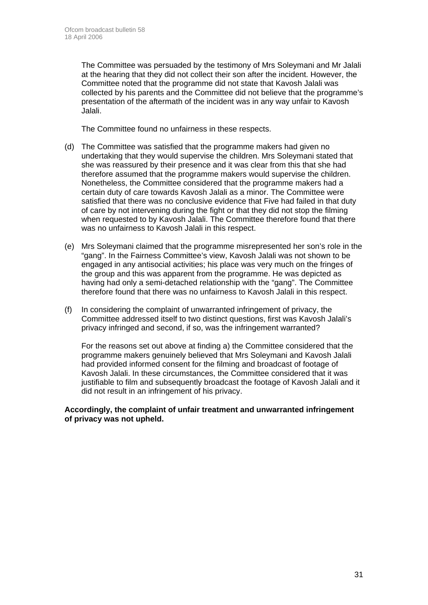The Committee was persuaded by the testimony of Mrs Soleymani and Mr Jalali at the hearing that they did not collect their son after the incident. However, the Committee noted that the programme did not state that Kavosh Jalali was collected by his parents and the Committee did not believe that the programme's presentation of the aftermath of the incident was in any way unfair to Kavosh Jalali.

The Committee found no unfairness in these respects.

- (d) The Committee was satisfied that the programme makers had given no undertaking that they would supervise the children. Mrs Soleymani stated that she was reassured by their presence and it was clear from this that she had therefore assumed that the programme makers would supervise the children. Nonetheless, the Committee considered that the programme makers had a certain duty of care towards Kavosh Jalali as a minor. The Committee were satisfied that there was no conclusive evidence that Five had failed in that duty of care by not intervening during the fight or that they did not stop the filming when requested to by Kavosh Jalali. The Committee therefore found that there was no unfairness to Kavosh Jalali in this respect.
- (e) Mrs Soleymani claimed that the programme misrepresented her son's role in the "gang". In the Fairness Committee's view, Kavosh Jalali was not shown to be engaged in any antisocial activities; his place was very much on the fringes of the group and this was apparent from the programme. He was depicted as having had only a semi-detached relationship with the "gang". The Committee therefore found that there was no unfairness to Kavosh Jalali in this respect.
- (f) In considering the complaint of unwarranted infringement of privacy, the Committee addressed itself to two distinct questions, first was Kavosh Jalali's privacy infringed and second, if so, was the infringement warranted?

For the reasons set out above at finding a) the Committee considered that the programme makers genuinely believed that Mrs Soleymani and Kavosh Jalali had provided informed consent for the filming and broadcast of footage of Kavosh Jalali. In these circumstances, the Committee considered that it was justifiable to film and subsequently broadcast the footage of Kavosh Jalali and it did not result in an infringement of his privacy.

**Accordingly, the complaint of unfair treatment and unwarranted infringement of privacy was not upheld.**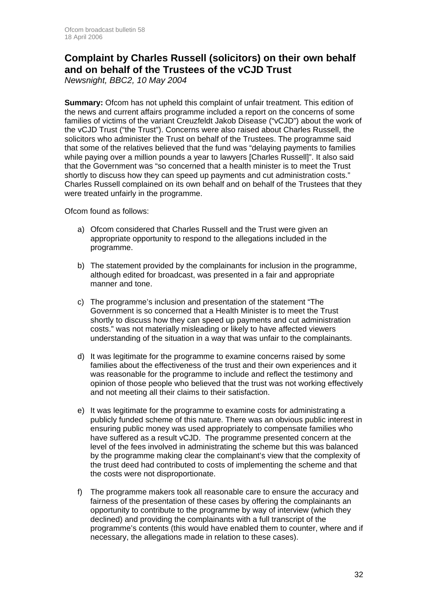### **Complaint by Charles Russell (solicitors) on their own behalf and on behalf of the Trustees of the vCJD Trust**

*Newsnight, BBC2, 10 May 2004* 

**Summary:** Ofcom has not upheld this complaint of unfair treatment. This edition of the news and current affairs programme included a report on the concerns of some families of victims of the variant Creuzfeldt Jakob Disease ("vCJD") about the work of the vCJD Trust ("the Trust"). Concerns were also raised about Charles Russell, the solicitors who administer the Trust on behalf of the Trustees. The programme said that some of the relatives believed that the fund was "delaying payments to families while paying over a million pounds a year to lawyers [Charles Russell]". It also said that the Government was "so concerned that a health minister is to meet the Trust shortly to discuss how they can speed up payments and cut administration costs." Charles Russell complained on its own behalf and on behalf of the Trustees that they were treated unfairly in the programme.

Ofcom found as follows:

- a) Ofcom considered that Charles Russell and the Trust were given an appropriate opportunity to respond to the allegations included in the programme.
- b) The statement provided by the complainants for inclusion in the programme, although edited for broadcast, was presented in a fair and appropriate manner and tone.
- c) The programme's inclusion and presentation of the statement "The Government is so concerned that a Health Minister is to meet the Trust shortly to discuss how they can speed up payments and cut administration costs." was not materially misleading or likely to have affected viewers understanding of the situation in a way that was unfair to the complainants.
- d) It was legitimate for the programme to examine concerns raised by some families about the effectiveness of the trust and their own experiences and it was reasonable for the programme to include and reflect the testimony and opinion of those people who believed that the trust was not working effectively and not meeting all their claims to their satisfaction.
- e) It was legitimate for the programme to examine costs for administrating a publicly funded scheme of this nature. There was an obvious public interest in ensuring public money was used appropriately to compensate families who have suffered as a result vCJD. The programme presented concern at the level of the fees involved in administrating the scheme but this was balanced by the programme making clear the complainant's view that the complexity of the trust deed had contributed to costs of implementing the scheme and that the costs were not disproportionate.
- f) The programme makers took all reasonable care to ensure the accuracy and fairness of the presentation of these cases by offering the complainants an opportunity to contribute to the programme by way of interview (which they declined) and providing the complainants with a full transcript of the programme's contents (this would have enabled them to counter, where and if necessary, the allegations made in relation to these cases).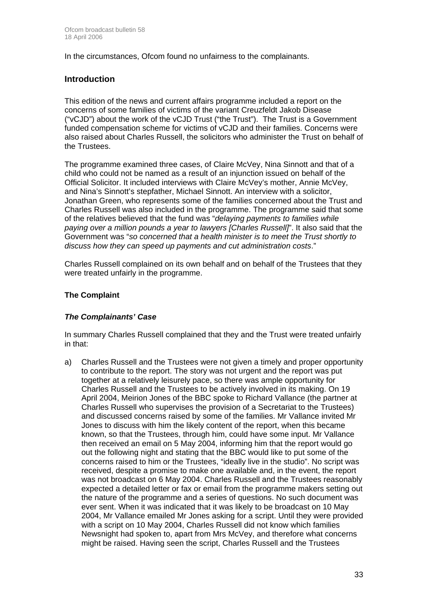In the circumstances, Ofcom found no unfairness to the complainants.

#### **Introduction**

This edition of the news and current affairs programme included a report on the concerns of some families of victims of the variant Creuzfeldt Jakob Disease ("vCJD") about the work of the vCJD Trust ("the Trust"). The Trust is a Government funded compensation scheme for victims of vCJD and their families. Concerns were also raised about Charles Russell, the solicitors who administer the Trust on behalf of the Trustees.

The programme examined three cases, of Claire McVey, Nina Sinnott and that of a child who could not be named as a result of an injunction issued on behalf of the Official Solicitor. It included interviews with Claire McVey's mother, Annie McVey, and Nina's Sinnott's stepfather, Michael Sinnott. An interview with a solicitor, Jonathan Green, who represents some of the families concerned about the Trust and Charles Russell was also included in the programme. The programme said that some of the relatives believed that the fund was "*delaying payments to families while paying over a million pounds a year to lawyers [Charles Russell]*". It also said that the Government was "*so concerned that a health minister is to meet the Trust shortly to discuss how they can speed up payments and cut administration costs*."

Charles Russell complained on its own behalf and on behalf of the Trustees that they were treated unfairly in the programme.

#### **The Complaint**

#### *The Complainants' Case*

In summary Charles Russell complained that they and the Trust were treated unfairly in that:

a) Charles Russell and the Trustees were not given a timely and proper opportunity to contribute to the report. The story was not urgent and the report was put together at a relatively leisurely pace, so there was ample opportunity for Charles Russell and the Trustees to be actively involved in its making. On 19 April 2004, Meirion Jones of the BBC spoke to Richard Vallance (the partner at Charles Russell who supervises the provision of a Secretariat to the Trustees) and discussed concerns raised by some of the families. Mr Vallance invited Mr Jones to discuss with him the likely content of the report, when this became known, so that the Trustees, through him, could have some input. Mr Vallance then received an email on 5 May 2004, informing him that the report would go out the following night and stating that the BBC would like to put some of the concerns raised to him or the Trustees, "ideally live in the studio". No script was received, despite a promise to make one available and, in the event, the report was not broadcast on 6 May 2004. Charles Russell and the Trustees reasonably expected a detailed letter or fax or email from the programme makers setting out the nature of the programme and a series of questions. No such document was ever sent. When it was indicated that it was likely to be broadcast on 10 May 2004, Mr Vallance emailed Mr Jones asking for a script. Until they were provided with a script on 10 May 2004, Charles Russell did not know which families Newsnight had spoken to, apart from Mrs McVey, and therefore what concerns might be raised. Having seen the script, Charles Russell and the Trustees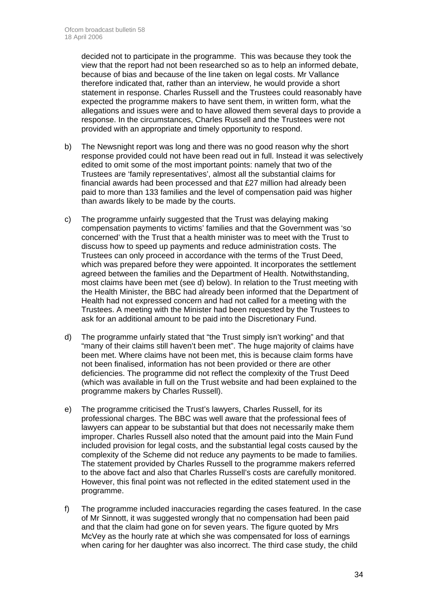decided not to participate in the programme. This was because they took the view that the report had not been researched so as to help an informed debate, because of bias and because of the line taken on legal costs. Mr Vallance therefore indicated that, rather than an interview, he would provide a short statement in response. Charles Russell and the Trustees could reasonably have expected the programme makers to have sent them, in written form, what the allegations and issues were and to have allowed them several days to provide a response. In the circumstances, Charles Russell and the Trustees were not provided with an appropriate and timely opportunity to respond.

- b) The Newsnight report was long and there was no good reason why the short response provided could not have been read out in full. Instead it was selectively edited to omit some of the most important points: namely that two of the Trustees are 'family representatives', almost all the substantial claims for financial awards had been processed and that £27 million had already been paid to more than 133 families and the level of compensation paid was higher than awards likely to be made by the courts.
- c) The programme unfairly suggested that the Trust was delaying making compensation payments to victims' families and that the Government was 'so concerned' with the Trust that a health minister was to meet with the Trust to discuss how to speed up payments and reduce administration costs. The Trustees can only proceed in accordance with the terms of the Trust Deed, which was prepared before they were appointed. It incorporates the settlement agreed between the families and the Department of Health. Notwithstanding, most claims have been met (see d) below). In relation to the Trust meeting with the Health Minister, the BBC had already been informed that the Department of Health had not expressed concern and had not called for a meeting with the Trustees. A meeting with the Minister had been requested by the Trustees to ask for an additional amount to be paid into the Discretionary Fund.
- d) The programme unfairly stated that "the Trust simply isn't working" and that "many of their claims still haven't been met". The huge majority of claims have been met. Where claims have not been met, this is because claim forms have not been finalised, information has not been provided or there are other deficiencies. The programme did not reflect the complexity of the Trust Deed (which was available in full on the Trust website and had been explained to the programme makers by Charles Russell).
- e) The programme criticised the Trust's lawyers, Charles Russell, for its professional charges. The BBC was well aware that the professional fees of lawyers can appear to be substantial but that does not necessarily make them improper. Charles Russell also noted that the amount paid into the Main Fund included provision for legal costs, and the substantial legal costs caused by the complexity of the Scheme did not reduce any payments to be made to families. The statement provided by Charles Russell to the programme makers referred to the above fact and also that Charles Russell's costs are carefully monitored. However, this final point was not reflected in the edited statement used in the programme.
- f) The programme included inaccuracies regarding the cases featured. In the case of Mr Sinnott, it was suggested wrongly that no compensation had been paid and that the claim had gone on for seven years. The figure quoted by Mrs McVey as the hourly rate at which she was compensated for loss of earnings when caring for her daughter was also incorrect. The third case study, the child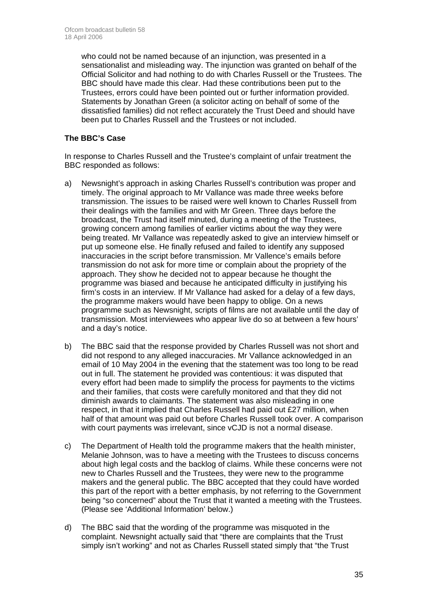who could not be named because of an injunction, was presented in a sensationalist and misleading way. The injunction was granted on behalf of the Official Solicitor and had nothing to do with Charles Russell or the Trustees. The BBC should have made this clear. Had these contributions been put to the Trustees, errors could have been pointed out or further information provided. Statements by Jonathan Green (a solicitor acting on behalf of some of the dissatisfied families) did not reflect accurately the Trust Deed and should have been put to Charles Russell and the Trustees or not included.

#### **The BBC's Case**

In response to Charles Russell and the Trustee's complaint of unfair treatment the BBC responded as follows:

- a) Newsnight's approach in asking Charles Russell's contribution was proper and timely. The original approach to Mr Vallance was made three weeks before transmission. The issues to be raised were well known to Charles Russell from their dealings with the families and with Mr Green. Three days before the broadcast, the Trust had itself minuted, during a meeting of the Trustees, growing concern among families of earlier victims about the way they were being treated. Mr Vallance was repeatedly asked to give an interview himself or put up someone else. He finally refused and failed to identify any supposed inaccuracies in the script before transmission. Mr Vallence's emails before transmission do not ask for more time or complain about the propriety of the approach. They show he decided not to appear because he thought the programme was biased and because he anticipated difficulty in justifying his firm's costs in an interview. If Mr Vallance had asked for a delay of a few days, the programme makers would have been happy to oblige. On a news programme such as Newsnight, scripts of films are not available until the day of transmission. Most interviewees who appear live do so at between a few hours' and a day's notice.
- b) The BBC said that the response provided by Charles Russell was not short and did not respond to any alleged inaccuracies. Mr Vallance acknowledged in an email of 10 May 2004 in the evening that the statement was too long to be read out in full. The statement he provided was contentious: it was disputed that every effort had been made to simplify the process for payments to the victims and their families, that costs were carefully monitored and that they did not diminish awards to claimants. The statement was also misleading in one respect, in that it implied that Charles Russell had paid out £27 million, when half of that amount was paid out before Charles Russell took over. A comparison with court payments was irrelevant, since vCJD is not a normal disease.
- c) The Department of Health told the programme makers that the health minister, Melanie Johnson, was to have a meeting with the Trustees to discuss concerns about high legal costs and the backlog of claims. While these concerns were not new to Charles Russell and the Trustees, they were new to the programme makers and the general public. The BBC accepted that they could have worded this part of the report with a better emphasis, by not referring to the Government being "so concerned" about the Trust that it wanted a meeting with the Trustees. (Please see 'Additional Information' below.)
- d) The BBC said that the wording of the programme was misquoted in the complaint. Newsnight actually said that "there are complaints that the Trust simply isn't working" and not as Charles Russell stated simply that "the Trust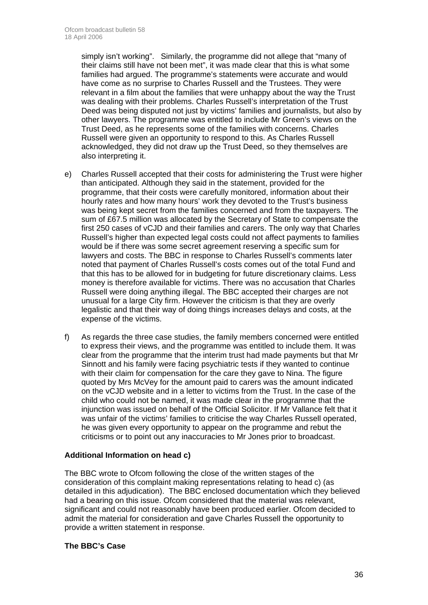simply isn't working". Similarly, the programme did not allege that "many of their claims still have not been met", it was made clear that this is what some families had argued. The programme's statements were accurate and would have come as no surprise to Charles Russell and the Trustees. They were relevant in a film about the families that were unhappy about the way the Trust was dealing with their problems. Charles Russell's interpretation of the Trust Deed was being disputed not just by victims' families and journalists, but also by other lawyers. The programme was entitled to include Mr Green's views on the Trust Deed, as he represents some of the families with concerns. Charles Russell were given an opportunity to respond to this. As Charles Russell acknowledged, they did not draw up the Trust Deed, so they themselves are also interpreting it.

- e) Charles Russell accepted that their costs for administering the Trust were higher than anticipated. Although they said in the statement, provided for the programme, that their costs were carefully monitored, information about their hourly rates and how many hours' work they devoted to the Trust's business was being kept secret from the families concerned and from the taxpayers. The sum of £67.5 million was allocated by the Secretary of State to compensate the first 250 cases of vCJD and their families and carers. The only way that Charles Russell's higher than expected legal costs could not affect payments to families would be if there was some secret agreement reserving a specific sum for lawyers and costs. The BBC in response to Charles Russell's comments later noted that payment of Charles Russell's costs comes out of the total Fund and that this has to be allowed for in budgeting for future discretionary claims. Less money is therefore available for victims. There was no accusation that Charles Russell were doing anything illegal. The BBC accepted their charges are not unusual for a large City firm. However the criticism is that they are overly legalistic and that their way of doing things increases delays and costs, at the expense of the victims.
- f) As regards the three case studies, the family members concerned were entitled to express their views, and the programme was entitled to include them. It was clear from the programme that the interim trust had made payments but that Mr Sinnott and his family were facing psychiatric tests if they wanted to continue with their claim for compensation for the care they gave to Nina. The figure quoted by Mrs McVey for the amount paid to carers was the amount indicated on the vCJD website and in a letter to victims from the Trust. In the case of the child who could not be named, it was made clear in the programme that the injunction was issued on behalf of the Official Solicitor. If Mr Vallance felt that it was unfair of the victims' families to criticise the way Charles Russell operated, he was given every opportunity to appear on the programme and rebut the criticisms or to point out any inaccuracies to Mr Jones prior to broadcast.

#### **Additional Information on head c)**

The BBC wrote to Ofcom following the close of the written stages of the consideration of this complaint making representations relating to head c) (as detailed in this adjudication). The BBC enclosed documentation which they believed had a bearing on this issue. Ofcom considered that the material was relevant, significant and could not reasonably have been produced earlier. Ofcom decided to admit the material for consideration and gave Charles Russell the opportunity to provide a written statement in response.

#### **The BBC's Case**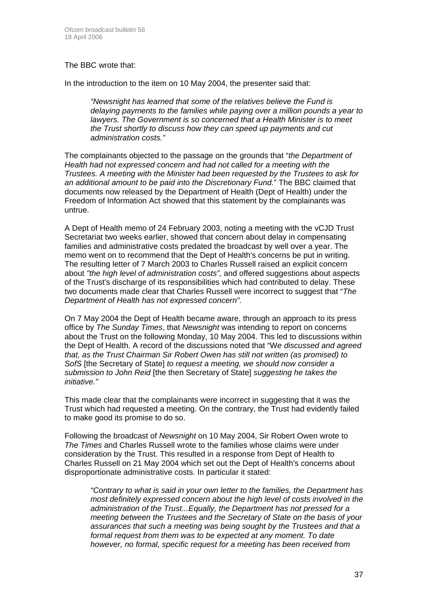#### The BBC wrote that:

In the introduction to the item on 10 May 2004, the presenter said that:

*"Newsnight has learned that some of the relatives believe the Fund is delaying payments to the families while paying over a million pounds a year to lawyers. The Government is so concerned that a Health Minister is to meet the Trust shortly to discuss how they can speed up payments and cut administration costs."*

The complainants objected to the passage on the grounds that "*the Department of Health had not expressed concern and had not called for a meeting with the Trustees. A meeting with the Minister had been requested by the Trustees to ask for an additional amount to be paid into the Discretionary Fund.*" The BBC claimed that documents now released by the Department of Health (Dept of Health) under the Freedom of Information Act showed that this statement by the complainants was untrue.

A Dept of Health memo of 24 February 2003, noting a meeting with the vCJD Trust Secretariat two weeks earlier, showed that concern about delay in compensating families and administrative costs predated the broadcast by well over a year. The memo went on to recommend that the Dept of Health's concerns be put in writing. The resulting letter of 7 March 2003 to Charles Russell raised an explicit concern about *"the high level of administration costs",* and offered suggestions about aspects of the Trust's discharge of its responsibilities which had contributed to delay. These two documents made clear that Charles Russell were incorrect to suggest that "*The Department of Health has not expressed concern".* 

On 7 May 2004 the Dept of Health became aware, through an approach to its press office by *The Sunday Times*, that *Newsnight* was intending to report on concerns about the Trust on the following Monday, 10 May 2004. This led to discussions within the Dept of Health. A record of the discussions noted that "W*e discussed and agreed that, as the Trust Chairman Sir Robert Owen has still not written (as promised) to SofS* [the Secretary of State] *to request a meeting, we should now consider a submission to John Reid* [the then Secretary of State] *suggesting he takes the initiative."* 

This made clear that the complainants were incorrect in suggesting that it was the Trust which had requested a meeting. On the contrary, the Trust had evidently failed to make good its promise to do so.

Following the broadcast of *Newsnight* on 10 May 2004, Sir Robert Owen wrote to *The Times* and Charles Russell wrote to the families whose claims were under consideration by the Trust. This resulted in a response from Dept of Health to Charles Russell on 21 May 2004 which set out the Dept of Health's concerns about disproportionate administrative costs. In particular it stated:

*"Contrary to what is said in your own letter to the families, the Department has most definitely expressed concern about the high level of costs involved in the administration of the Trust...Equally, the Department has not pressed for a meeting between the Trustees and the Secretary of State on the basis of your assurances that such a meeting was being sought by the Trustees and that a formal request from them was to be expected at any moment. To date however, no formal, specific request for a meeting has been received from*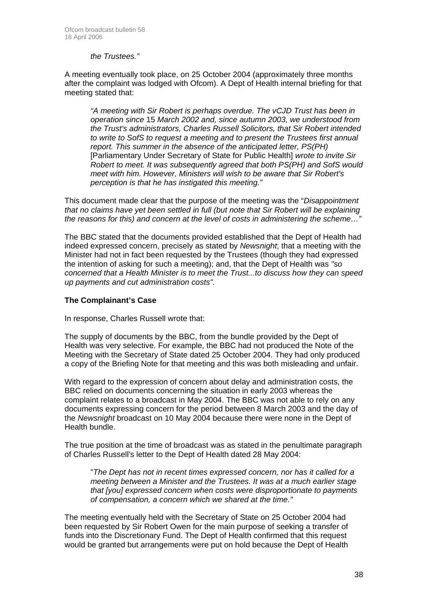#### *the Trustees."*

A meeting eventually took place, on 25 October 2004 (approximately three months after the complaint was lodged with Ofcom). A Dept of Health internal briefing for that meeting stated that:

*"A meeting with Sir Robert is perhaps overdue. The vCJD Trust has been in operation since* 15 *March 2002 and, since autumn 2003, we understood from the Trust's administrators, Charles Russell Solicitors, that Sir Robert intended to write to SofS to request a meeting and to present the Trustees first annual report. This summer in the absence of the anticipated letter, PS(PH)*  [Parliamentary Under Secretary of State for Public Health] *wrote to invite Sir Robert to meet. It was subsequently agreed that both PS(PH) and SofS would meet with him. However, Ministers will wish to be aware that Sir Robert's perception is that he has instigated this meeting."* 

This document made clear that the purpose of the meeting was the "*Disappointment that no claims have yet been settled in full (but note that Sir Robert will be explaining the reasons for this) and concern at the level of costs in administering the scheme…"* 

The BBC stated that the documents provided established that the Dept of Health had indeed expressed concern, precisely as stated by *Newsnight*; that a meeting with the Minister had not in fact been requested by the Trustees (though they had expressed the intention of asking for such a meeting); and, that the Dept of Health was *"so concerned that a Health Minister is to meet the Trust...to discuss how they can speed up payments and cut administration costs".* 

#### **The Complainant's Case**

In response, Charles Russell wrote that:

The supply of documents by the BBC, from the bundle provided by the Dept of Health was very selective. For example, the BBC had not produced the Note of the Meeting with the Secretary of State dated 25 October 2004. They had only produced a copy of the Briefing Note for that meeting and this was both misleading and unfair.

With regard to the expression of concern about delay and administration costs, the BBC relied on documents concerning the situation in early 2003 whereas the complaint relates to a broadcast in May 2004. The BBC was not able to rely on any documents expressing concern for the period between 8 March 2003 and the day of the *Newsnight* broadcast on 10 May 2004 because there were none in the Dept of Health bundle.

The true position at the time of broadcast was as stated in the penultimate paragraph of Charles Russell's letter to the Dept of Health dated 28 May 2004:

"*The Dept has not in recent times expressed concern, nor has it called for a meeting between a Minister and the Trustees. It was at a much earlier stage that [you] expressed concern when costs were disproportionate to payments of compensation, a concern which we shared at the time."*

The meeting eventually held with the Secretary of State on 25 October 2004 had been requested by Sir Robert Owen for the main purpose of seeking a transfer of funds into the Discretionary Fund. The Dept of Health confirmed that this request would be granted but arrangements were put on hold because the Dept of Health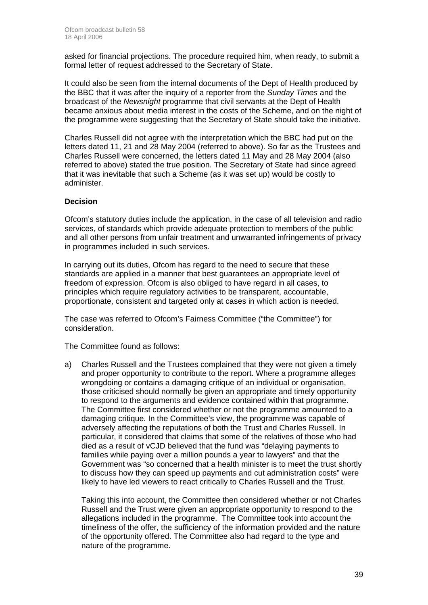asked for financial projections. The procedure required him, when ready, to submit a formal letter of request addressed to the Secretary of State.

It could also be seen from the internal documents of the Dept of Health produced by the BBC that it was after the inquiry of a reporter from the *Sunday Times* and the broadcast of the *Newsnight* programme that civil servants at the Dept of Health became anxious about media interest in the costs of the Scheme, and on the night of the programme were suggesting that the Secretary of State should take the initiative.

Charles Russell did not agree with the interpretation which the BBC had put on the letters dated 11, 21 and 28 May 2004 (referred to above). So far as the Trustees and Charles Russell were concerned, the letters dated 11 May and 28 May 2004 (also referred to above) stated the true position. The Secretary of State had since agreed that it was inevitable that such a Scheme (as it was set up) would be costly to administer.

#### **Decision**

Ofcom's statutory duties include the application, in the case of all television and radio services, of standards which provide adequate protection to members of the public and all other persons from unfair treatment and unwarranted infringements of privacy in programmes included in such services.

In carrying out its duties, Ofcom has regard to the need to secure that these standards are applied in a manner that best guarantees an appropriate level of freedom of expression. Ofcom is also obliged to have regard in all cases, to principles which require regulatory activities to be transparent, accountable, proportionate, consistent and targeted only at cases in which action is needed.

The case was referred to Ofcom's Fairness Committee ("the Committee") for consideration.

The Committee found as follows:

a) Charles Russell and the Trustees complained that they were not given a timely and proper opportunity to contribute to the report. Where a programme alleges wrongdoing or contains a damaging critique of an individual or organisation, those criticised should normally be given an appropriate and timely opportunity to respond to the arguments and evidence contained within that programme. The Committee first considered whether or not the programme amounted to a damaging critique. In the Committee's view, the programme was capable of adversely affecting the reputations of both the Trust and Charles Russell. In particular, it considered that claims that some of the relatives of those who had died as a result of vCJD believed that the fund was "delaying payments to families while paying over a million pounds a year to lawyers" and that the Government was "so concerned that a health minister is to meet the trust shortly to discuss how they can speed up payments and cut administration costs" were likely to have led viewers to react critically to Charles Russell and the Trust.

Taking this into account, the Committee then considered whether or not Charles Russell and the Trust were given an appropriate opportunity to respond to the allegations included in the programme. The Committee took into account the timeliness of the offer, the sufficiency of the information provided and the nature of the opportunity offered. The Committee also had regard to the type and nature of the programme.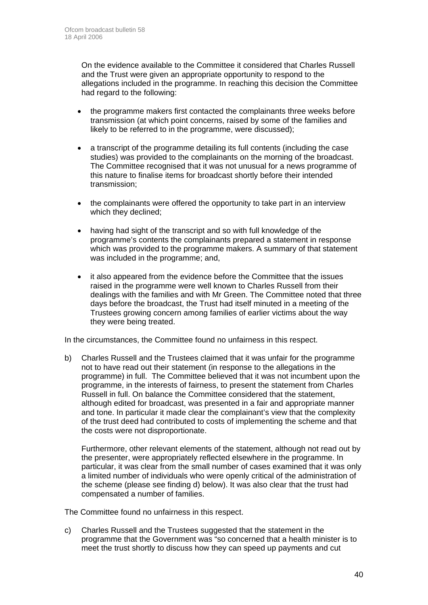On the evidence available to the Committee it considered that Charles Russell and the Trust were given an appropriate opportunity to respond to the allegations included in the programme. In reaching this decision the Committee had regard to the following:

- the programme makers first contacted the complainants three weeks before transmission (at which point concerns, raised by some of the families and likely to be referred to in the programme, were discussed);
- a transcript of the programme detailing its full contents (including the case studies) was provided to the complainants on the morning of the broadcast. The Committee recognised that it was not unusual for a news programme of this nature to finalise items for broadcast shortly before their intended transmission;
- the complainants were offered the opportunity to take part in an interview which they declined;
- having had sight of the transcript and so with full knowledge of the programme's contents the complainants prepared a statement in response which was provided to the programme makers. A summary of that statement was included in the programme; and,
- it also appeared from the evidence before the Committee that the issues raised in the programme were well known to Charles Russell from their dealings with the families and with Mr Green. The Committee noted that three days before the broadcast, the Trust had itself minuted in a meeting of the Trustees growing concern among families of earlier victims about the way they were being treated.

In the circumstances, the Committee found no unfairness in this respect.

b) Charles Russell and the Trustees claimed that it was unfair for the programme not to have read out their statement (in response to the allegations in the programme) in full. The Committee believed that it was not incumbent upon the programme, in the interests of fairness, to present the statement from Charles Russell in full. On balance the Committee considered that the statement, although edited for broadcast, was presented in a fair and appropriate manner and tone. In particular it made clear the complainant's view that the complexity of the trust deed had contributed to costs of implementing the scheme and that the costs were not disproportionate.

Furthermore, other relevant elements of the statement, although not read out by the presenter, were appropriately reflected elsewhere in the programme. In particular, it was clear from the small number of cases examined that it was only a limited number of individuals who were openly critical of the administration of the scheme (please see finding d) below). It was also clear that the trust had compensated a number of families.

The Committee found no unfairness in this respect.

c) Charles Russell and the Trustees suggested that the statement in the programme that the Government was "so concerned that a health minister is to meet the trust shortly to discuss how they can speed up payments and cut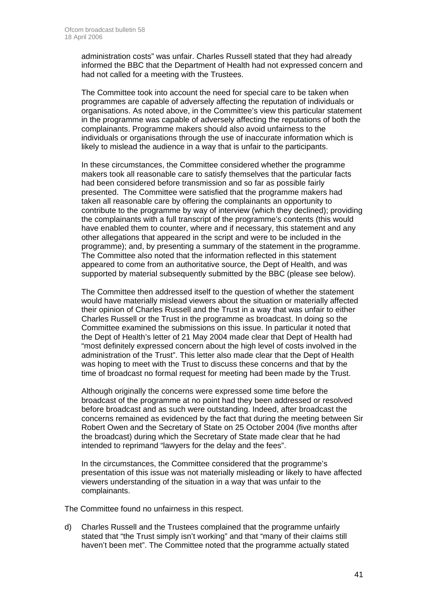administration costs" was unfair. Charles Russell stated that they had already informed the BBC that the Department of Health had not expressed concern and had not called for a meeting with the Trustees.

The Committee took into account the need for special care to be taken when programmes are capable of adversely affecting the reputation of individuals or organisations. As noted above, in the Committee's view this particular statement in the programme was capable of adversely affecting the reputations of both the complainants. Programme makers should also avoid unfairness to the individuals or organisations through the use of inaccurate information which is likely to mislead the audience in a way that is unfair to the participants.

In these circumstances, the Committee considered whether the programme makers took all reasonable care to satisfy themselves that the particular facts had been considered before transmission and so far as possible fairly presented. The Committee were satisfied that the programme makers had taken all reasonable care by offering the complainants an opportunity to contribute to the programme by way of interview (which they declined); providing the complainants with a full transcript of the programme's contents (this would have enabled them to counter, where and if necessary, this statement and any other allegations that appeared in the script and were to be included in the programme); and, by presenting a summary of the statement in the programme. The Committee also noted that the information reflected in this statement appeared to come from an authoritative source, the Dept of Health, and was supported by material subsequently submitted by the BBC (please see below).

The Committee then addressed itself to the question of whether the statement would have materially mislead viewers about the situation or materially affected their opinion of Charles Russell and the Trust in a way that was unfair to either Charles Russell or the Trust in the programme as broadcast. In doing so the Committee examined the submissions on this issue. In particular it noted that the Dept of Health's letter of 21 May 2004 made clear that Dept of Health had "most definitely expressed concern about the high level of costs involved in the administration of the Trust". This letter also made clear that the Dept of Health was hoping to meet with the Trust to discuss these concerns and that by the time of broadcast no formal request for meeting had been made by the Trust.

Although originally the concerns were expressed some time before the broadcast of the programme at no point had they been addressed or resolved before broadcast and as such were outstanding. Indeed, after broadcast the concerns remained as evidenced by the fact that during the meeting between Sir Robert Owen and the Secretary of State on 25 October 2004 (five months after the broadcast) during which the Secretary of State made clear that he had intended to reprimand "lawyers for the delay and the fees".

In the circumstances, the Committee considered that the programme's presentation of this issue was not materially misleading or likely to have affected viewers understanding of the situation in a way that was unfair to the complainants.

The Committee found no unfairness in this respect.

d) Charles Russell and the Trustees complained that the programme unfairly stated that "the Trust simply isn't working" and that "many of their claims still haven't been met". The Committee noted that the programme actually stated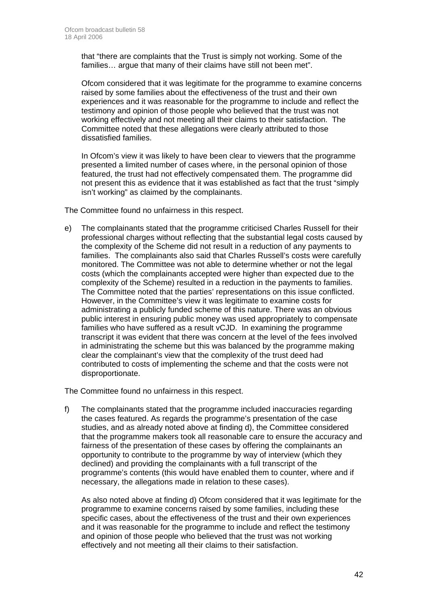that "there are complaints that the Trust is simply not working. Some of the families… argue that many of their claims have still not been met".

Ofcom considered that it was legitimate for the programme to examine concerns raised by some families about the effectiveness of the trust and their own experiences and it was reasonable for the programme to include and reflect the testimony and opinion of those people who believed that the trust was not working effectively and not meeting all their claims to their satisfaction. The Committee noted that these allegations were clearly attributed to those dissatisfied families.

In Ofcom's view it was likely to have been clear to viewers that the programme presented a limited number of cases where, in the personal opinion of those featured, the trust had not effectively compensated them. The programme did not present this as evidence that it was established as fact that the trust "simply isn't working" as claimed by the complainants.

The Committee found no unfairness in this respect.

e) The complainants stated that the programme criticised Charles Russell for their professional charges without reflecting that the substantial legal costs caused by the complexity of the Scheme did not result in a reduction of any payments to families. The complainants also said that Charles Russell's costs were carefully monitored. The Committee was not able to determine whether or not the legal costs (which the complainants accepted were higher than expected due to the complexity of the Scheme) resulted in a reduction in the payments to families. The Committee noted that the parties' representations on this issue conflicted. However, in the Committee's view it was legitimate to examine costs for administrating a publicly funded scheme of this nature. There was an obvious public interest in ensuring public money was used appropriately to compensate families who have suffered as a result vCJD. In examining the programme transcript it was evident that there was concern at the level of the fees involved in administrating the scheme but this was balanced by the programme making clear the complainant's view that the complexity of the trust deed had contributed to costs of implementing the scheme and that the costs were not disproportionate.

The Committee found no unfairness in this respect.

f) The complainants stated that the programme included inaccuracies regarding the cases featured. As regards the programme's presentation of the case studies, and as already noted above at finding d), the Committee considered that the programme makers took all reasonable care to ensure the accuracy and fairness of the presentation of these cases by offering the complainants an opportunity to contribute to the programme by way of interview (which they declined) and providing the complainants with a full transcript of the programme's contents (this would have enabled them to counter, where and if necessary, the allegations made in relation to these cases).

As also noted above at finding d) Ofcom considered that it was legitimate for the programme to examine concerns raised by some families, including these specific cases, about the effectiveness of the trust and their own experiences and it was reasonable for the programme to include and reflect the testimony and opinion of those people who believed that the trust was not working effectively and not meeting all their claims to their satisfaction.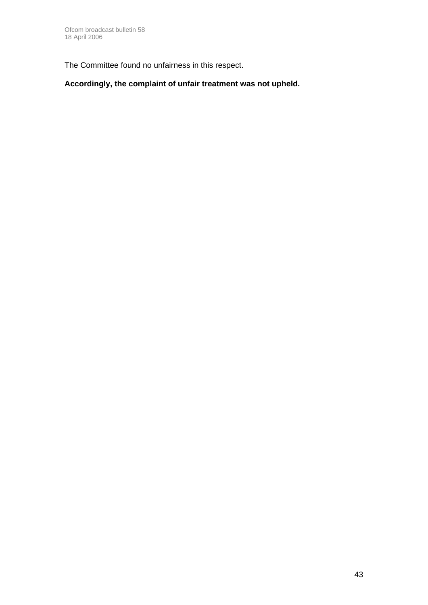The Committee found no unfairness in this respect.

**Accordingly, the complaint of unfair treatment was not upheld.**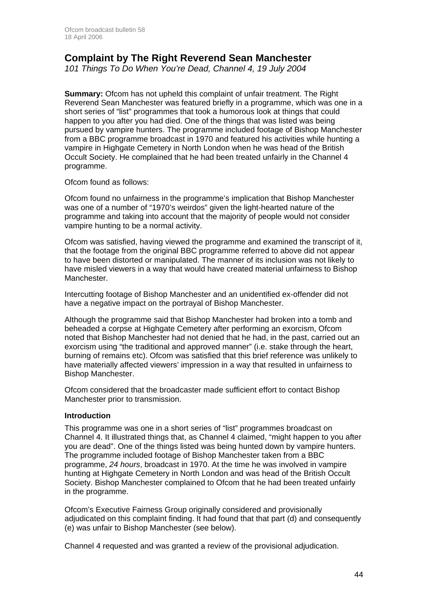### **Complaint by The Right Reverend Sean Manchester**

*101 Things To Do When You're Dead, Channel 4, 19 July 2004* 

**Summary:** Ofcom has not upheld this complaint of unfair treatment. The Right Reverend Sean Manchester was featured briefly in a programme, which was one in a short series of "list" programmes that took a humorous look at things that could happen to you after you had died. One of the things that was listed was being pursued by vampire hunters. The programme included footage of Bishop Manchester from a BBC programme broadcast in 1970 and featured his activities while hunting a vampire in Highgate Cemetery in North London when he was head of the British Occult Society. He complained that he had been treated unfairly in the Channel 4 programme.

Ofcom found as follows:

Ofcom found no unfairness in the programme's implication that Bishop Manchester was one of a number of "1970's weirdos" given the light-hearted nature of the programme and taking into account that the majority of people would not consider vampire hunting to be a normal activity.

Ofcom was satisfied, having viewed the programme and examined the transcript of it, that the footage from the original BBC programme referred to above did not appear to have been distorted or manipulated. The manner of its inclusion was not likely to have misled viewers in a way that would have created material unfairness to Bishop Manchester.

Intercutting footage of Bishop Manchester and an unidentified ex-offender did not have a negative impact on the portrayal of Bishop Manchester.

Although the programme said that Bishop Manchester had broken into a tomb and beheaded a corpse at Highgate Cemetery after performing an exorcism, Ofcom noted that Bishop Manchester had not denied that he had, in the past, carried out an exorcism using "the traditional and approved manner" (i.e. stake through the heart, burning of remains etc). Ofcom was satisfied that this brief reference was unlikely to have materially affected viewers' impression in a way that resulted in unfairness to Bishop Manchester.

Ofcom considered that the broadcaster made sufficient effort to contact Bishop Manchester prior to transmission.

#### **Introduction**

This programme was one in a short series of "list" programmes broadcast on Channel 4. It illustrated things that, as Channel 4 claimed, "might happen to you after you are dead". One of the things listed was being hunted down by vampire hunters. The programme included footage of Bishop Manchester taken from a BBC programme, *24 hours*, broadcast in 1970. At the time he was involved in vampire hunting at Highgate Cemetery in North London and was head of the British Occult Society. Bishop Manchester complained to Ofcom that he had been treated unfairly in the programme.

Ofcom's Executive Fairness Group originally considered and provisionally adjudicated on this complaint finding. It had found that that part (d) and consequently (e) was unfair to Bishop Manchester (see below).

Channel 4 requested and was granted a review of the provisional adjudication.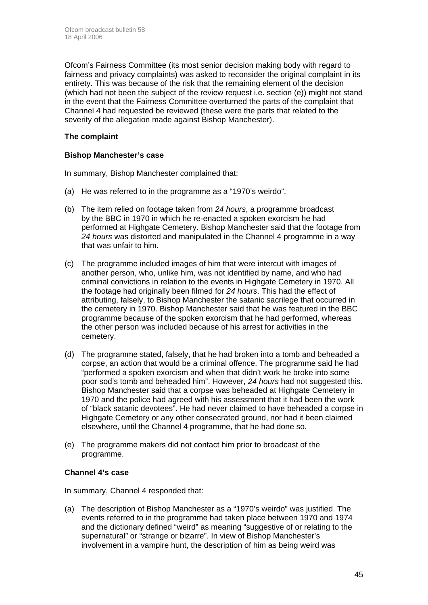Ofcom's Fairness Committee (its most senior decision making body with regard to fairness and privacy complaints) was asked to reconsider the original complaint in its entirety. This was because of the risk that the remaining element of the decision (which had not been the subject of the review request i.e. section (e)) might not stand in the event that the Fairness Committee overturned the parts of the complaint that Channel 4 had requested be reviewed (these were the parts that related to the severity of the allegation made against Bishop Manchester).

#### **The complaint**

#### **Bishop Manchester's case**

In summary, Bishop Manchester complained that:

- (a) He was referred to in the programme as a "1970's weirdo".
- (b) The item relied on footage taken from *24 hours*, a programme broadcast by the BBC in 1970 in which he re-enacted a spoken exorcism he had performed at Highgate Cemetery. Bishop Manchester said that the footage from *24 hours* was distorted and manipulated in the Channel 4 programme in a way that was unfair to him.
- (c) The programme included images of him that were intercut with images of another person, who, unlike him, was not identified by name, and who had criminal convictions in relation to the events in Highgate Cemetery in 1970. All the footage had originally been filmed for *24 hours*. This had the effect of attributing, falsely, to Bishop Manchester the satanic sacrilege that occurred in the cemetery in 1970. Bishop Manchester said that he was featured in the BBC programme because of the spoken exorcism that he had performed, whereas the other person was included because of his arrest for activities in the cemetery.
- (d) The programme stated, falsely, that he had broken into a tomb and beheaded a corpse, an action that would be a criminal offence. The programme said he had "performed a spoken exorcism and when that didn't work he broke into some poor sod's tomb and beheaded him". However, *24 hours* had not suggested this. Bishop Manchester said that a corpse was beheaded at Highgate Cemetery in 1970 and the police had agreed with his assessment that it had been the work of "black satanic devotees". He had never claimed to have beheaded a corpse in Highgate Cemetery or any other consecrated ground, nor had it been claimed elsewhere, until the Channel 4 programme, that he had done so.
- (e) The programme makers did not contact him prior to broadcast of the programme.

#### **Channel 4's case**

In summary, Channel 4 responded that:

(a) The description of Bishop Manchester as a "1970's weirdo" was justified. The events referred to in the programme had taken place between 1970 and 1974 and the dictionary defined "weird" as meaning "suggestive of or relating to the supernatural" or "strange or bizarre". In view of Bishop Manchester's involvement in a vampire hunt, the description of him as being weird was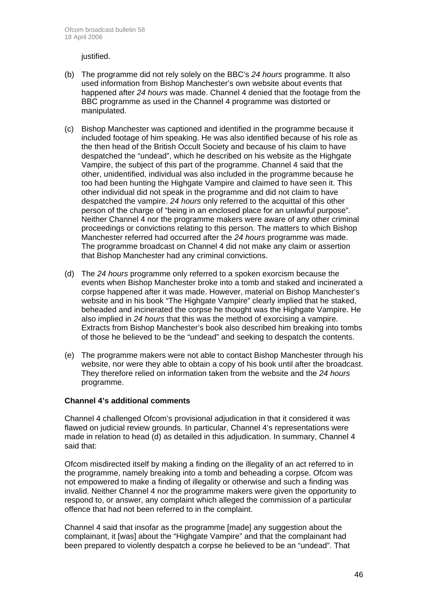justified.

- (b) The programme did not rely solely on the BBC's *24 hours* programme. It also used information from Bishop Manchester's own website about events that happened after *24 hours* was made. Channel 4 denied that the footage from the BBC programme as used in the Channel 4 programme was distorted or manipulated.
- (c) Bishop Manchester was captioned and identified in the programme because it included footage of him speaking. He was also identified because of his role as the then head of the British Occult Society and because of his claim to have despatched the "undead", which he described on his website as the Highgate Vampire, the subject of this part of the programme. Channel 4 said that the other, unidentified, individual was also included in the programme because he too had been hunting the Highgate Vampire and claimed to have seen it. This other individual did not speak in the programme and did not claim to have despatched the vampire. *24 hours* only referred to the acquittal of this other person of the charge of "being in an enclosed place for an unlawful purpose". Neither Channel 4 nor the programme makers were aware of any other criminal proceedings or convictions relating to this person. The matters to which Bishop Manchester referred had occurred after the *24 hours* programme was made. The programme broadcast on Channel 4 did not make any claim or assertion that Bishop Manchester had any criminal convictions.
- (d) The *24 hours* programme only referred to a spoken exorcism because the events when Bishop Manchester broke into a tomb and staked and incinerated a corpse happened after it was made. However, material on Bishop Manchester's website and in his book "The Highgate Vampire" clearly implied that he staked, beheaded and incinerated the corpse he thought was the Highgate Vampire. He also implied in *24 hours* that this was the method of exorcising a vampire. Extracts from Bishop Manchester's book also described him breaking into tombs of those he believed to be the "undead" and seeking to despatch the contents.
- (e) The programme makers were not able to contact Bishop Manchester through his website, nor were they able to obtain a copy of his book until after the broadcast. They therefore relied on information taken from the website and the *24 hours* programme.

#### **Channel 4's additional comments**

Channel 4 challenged Ofcom's provisional adjudication in that it considered it was flawed on judicial review grounds. In particular, Channel 4's representations were made in relation to head (d) as detailed in this adjudication. In summary, Channel 4 said that:

Ofcom misdirected itself by making a finding on the illegality of an act referred to in the programme, namely breaking into a tomb and beheading a corpse. Ofcom was not empowered to make a finding of illegality or otherwise and such a finding was invalid. Neither Channel 4 nor the programme makers were given the opportunity to respond to, or answer, any complaint which alleged the commission of a particular offence that had not been referred to in the complaint.

Channel 4 said that insofar as the programme [made] any suggestion about the complainant, it [was] about the "Highgate Vampire" and that the complainant had been prepared to violently despatch a corpse he believed to be an "undead". That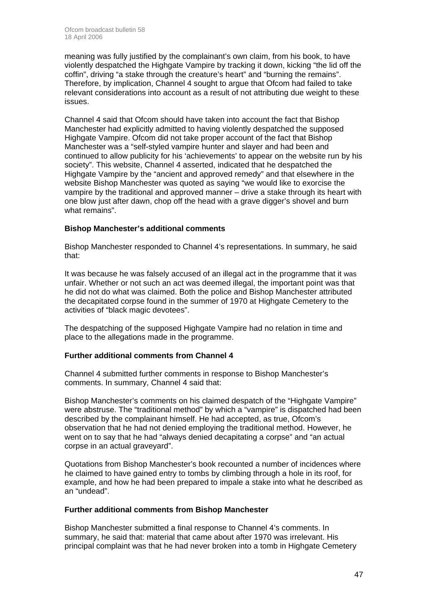meaning was fully justified by the complainant's own claim, from his book, to have violently despatched the Highgate Vampire by tracking it down, kicking "the lid off the coffin", driving "a stake through the creature's heart" and "burning the remains". Therefore, by implication, Channel 4 sought to argue that Ofcom had failed to take relevant considerations into account as a result of not attributing due weight to these issues.

Channel 4 said that Ofcom should have taken into account the fact that Bishop Manchester had explicitly admitted to having violently despatched the supposed Highgate Vampire. Ofcom did not take proper account of the fact that Bishop Manchester was a "self-styled vampire hunter and slayer and had been and continued to allow publicity for his 'achievements' to appear on the website run by his society". This website, Channel 4 asserted, indicated that he despatched the Highgate Vampire by the "ancient and approved remedy" and that elsewhere in the website Bishop Manchester was quoted as saying "we would like to exorcise the vampire by the traditional and approved manner – drive a stake through its heart with one blow just after dawn, chop off the head with a grave digger's shovel and burn what remains".

#### **Bishop Manchester's additional comments**

Bishop Manchester responded to Channel 4's representations. In summary, he said that:

It was because he was falsely accused of an illegal act in the programme that it was unfair. Whether or not such an act was deemed illegal, the important point was that he did not do what was claimed. Both the police and Bishop Manchester attributed the decapitated corpse found in the summer of 1970 at Highgate Cemetery to the activities of "black magic devotees".

The despatching of the supposed Highgate Vampire had no relation in time and place to the allegations made in the programme.

#### **Further additional comments from Channel 4**

Channel 4 submitted further comments in response to Bishop Manchester's comments. In summary, Channel 4 said that:

Bishop Manchester's comments on his claimed despatch of the "Highgate Vampire" were abstruse. The "traditional method" by which a "vampire" is dispatched had been described by the complainant himself. He had accepted, as true, Ofcom's observation that he had not denied employing the traditional method. However, he went on to say that he had "always denied decapitating a corpse" and "an actual corpse in an actual graveyard".

Quotations from Bishop Manchester's book recounted a number of incidences where he claimed to have gained entry to tombs by climbing through a hole in its roof, for example, and how he had been prepared to impale a stake into what he described as an "undead".

#### **Further additional comments from Bishop Manchester**

Bishop Manchester submitted a final response to Channel 4's comments. In summary, he said that: material that came about after 1970 was irrelevant. His principal complaint was that he had never broken into a tomb in Highgate Cemetery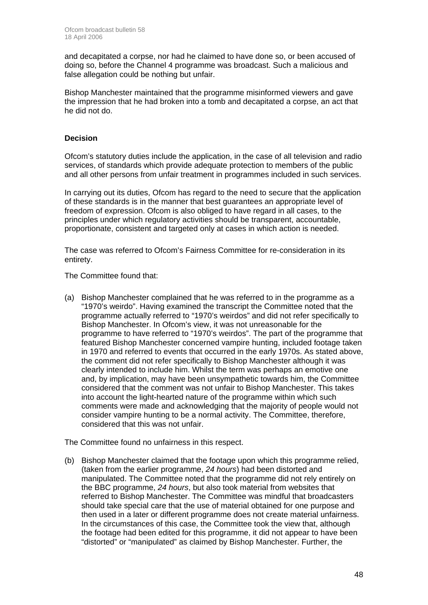and decapitated a corpse, nor had he claimed to have done so, or been accused of doing so, before the Channel 4 programme was broadcast. Such a malicious and false allegation could be nothing but unfair.

Bishop Manchester maintained that the programme misinformed viewers and gave the impression that he had broken into a tomb and decapitated a corpse, an act that he did not do.

#### **Decision**

Ofcom's statutory duties include the application, in the case of all television and radio services, of standards which provide adequate protection to members of the public and all other persons from unfair treatment in programmes included in such services.

In carrying out its duties, Ofcom has regard to the need to secure that the application of these standards is in the manner that best guarantees an appropriate level of freedom of expression. Ofcom is also obliged to have regard in all cases, to the principles under which regulatory activities should be transparent, accountable, proportionate, consistent and targeted only at cases in which action is needed.

The case was referred to Ofcom's Fairness Committee for re-consideration in its entirety.

The Committee found that:

(a) Bishop Manchester complained that he was referred to in the programme as a "1970's weirdo". Having examined the transcript the Committee noted that the programme actually referred to "1970's weirdos" and did not refer specifically to Bishop Manchester. In Ofcom's view, it was not unreasonable for the programme to have referred to "1970's weirdos". The part of the programme that featured Bishop Manchester concerned vampire hunting, included footage taken in 1970 and referred to events that occurred in the early 1970s. As stated above, the comment did not refer specifically to Bishop Manchester although it was clearly intended to include him. Whilst the term was perhaps an emotive one and, by implication, may have been unsympathetic towards him, the Committee considered that the comment was not unfair to Bishop Manchester. This takes into account the light-hearted nature of the programme within which such comments were made and acknowledging that the majority of people would not consider vampire hunting to be a normal activity. The Committee, therefore, considered that this was not unfair.

The Committee found no unfairness in this respect.

(b) Bishop Manchester claimed that the footage upon which this programme relied, (taken from the earlier programme, *24 hours*) had been distorted and manipulated. The Committee noted that the programme did not rely entirely on the BBC programme, *24 hours*, but also took material from websites that referred to Bishop Manchester. The Committee was mindful that broadcasters should take special care that the use of material obtained for one purpose and then used in a later or different programme does not create material unfairness. In the circumstances of this case, the Committee took the view that, although the footage had been edited for this programme, it did not appear to have been "distorted" or "manipulated" as claimed by Bishop Manchester. Further, the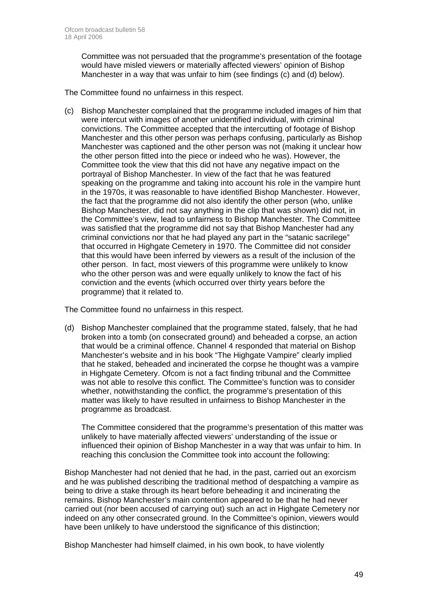Committee was not persuaded that the programme's presentation of the footage would have misled viewers or materially affected viewers' opinion of Bishop Manchester in a way that was unfair to him (see findings (c) and (d) below).

The Committee found no unfairness in this respect.

(c) Bishop Manchester complained that the programme included images of him that were intercut with images of another unidentified individual, with criminal convictions. The Committee accepted that the intercutting of footage of Bishop Manchester and this other person was perhaps confusing, particularly as Bishop Manchester was captioned and the other person was not (making it unclear how the other person fitted into the piece or indeed who he was). However, the Committee took the view that this did not have any negative impact on the portrayal of Bishop Manchester. In view of the fact that he was featured speaking on the programme and taking into account his role in the vampire hunt in the 1970s, it was reasonable to have identified Bishop Manchester. However, the fact that the programme did not also identify the other person (who, unlike Bishop Manchester, did not say anything in the clip that was shown) did not, in the Committee's view, lead to unfairness to Bishop Manchester. The Committee was satisfied that the programme did not say that Bishop Manchester had any criminal convictions nor that he had played any part in the "satanic sacrilege" that occurred in Highgate Cemetery in 1970. The Committee did not consider that this would have been inferred by viewers as a result of the inclusion of the other person. In fact, most viewers of this programme were unlikely to know who the other person was and were equally unlikely to know the fact of his conviction and the events (which occurred over thirty years before the programme) that it related to.

The Committee found no unfairness in this respect.

(d) Bishop Manchester complained that the programme stated, falsely, that he had broken into a tomb (on consecrated ground) and beheaded a corpse, an action that would be a criminal offence. Channel 4 responded that material on Bishop Manchester's website and in his book "The Highgate Vampire" clearly implied that he staked, beheaded and incinerated the corpse he thought was a vampire in Highgate Cemetery. Ofcom is not a fact finding tribunal and the Committee was not able to resolve this conflict. The Committee's function was to consider whether, notwithstanding the conflict, the programme's presentation of this matter was likely to have resulted in unfairness to Bishop Manchester in the programme as broadcast.

The Committee considered that the programme's presentation of this matter was unlikely to have materially affected viewers' understanding of the issue or influenced their opinion of Bishop Manchester in a way that was unfair to him. In reaching this conclusion the Committee took into account the following:

Bishop Manchester had not denied that he had, in the past, carried out an exorcism and he was published describing the traditional method of despatching a vampire as being to drive a stake through its heart before beheading it and incinerating the remains. Bishop Manchester's main contention appeared to be that he had never carried out (nor been accused of carrying out) such an act in Highgate Cemetery nor indeed on any other consecrated ground. In the Committee's opinion, viewers would have been unlikely to have understood the significance of this distinction;

Bishop Manchester had himself claimed, in his own book, to have violently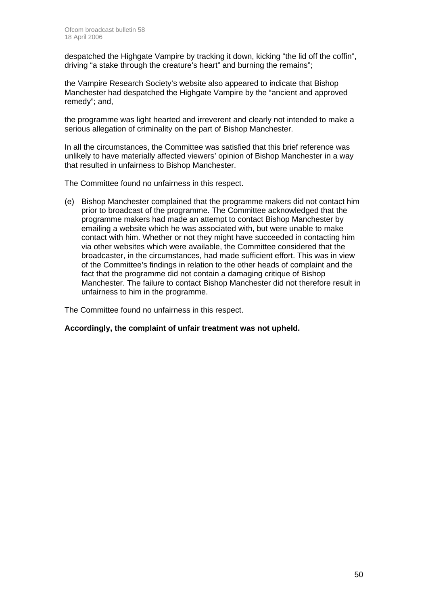despatched the Highgate Vampire by tracking it down, kicking "the lid off the coffin", driving "a stake through the creature's heart" and burning the remains";

the Vampire Research Society's website also appeared to indicate that Bishop Manchester had despatched the Highgate Vampire by the "ancient and approved remedy"; and,

the programme was light hearted and irreverent and clearly not intended to make a serious allegation of criminality on the part of Bishop Manchester.

In all the circumstances, the Committee was satisfied that this brief reference was unlikely to have materially affected viewers' opinion of Bishop Manchester in a way that resulted in unfairness to Bishop Manchester.

The Committee found no unfairness in this respect.

(e) Bishop Manchester complained that the programme makers did not contact him prior to broadcast of the programme. The Committee acknowledged that the programme makers had made an attempt to contact Bishop Manchester by emailing a website which he was associated with, but were unable to make contact with him. Whether or not they might have succeeded in contacting him via other websites which were available, the Committee considered that the broadcaster, in the circumstances, had made sufficient effort. This was in view of the Committee's findings in relation to the other heads of complaint and the fact that the programme did not contain a damaging critique of Bishop Manchester. The failure to contact Bishop Manchester did not therefore result in unfairness to him in the programme.

The Committee found no unfairness in this respect.

#### **Accordingly, the complaint of unfair treatment was not upheld.**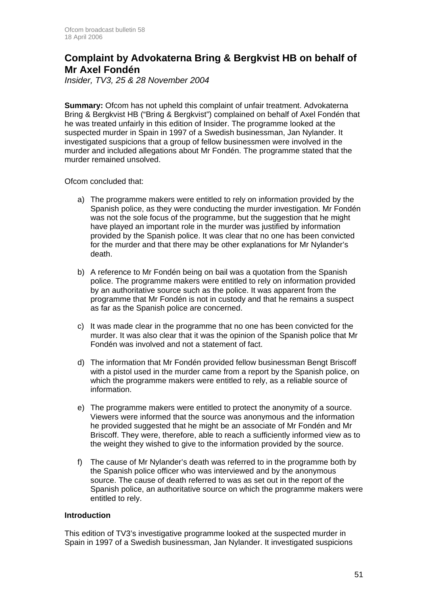### **Complaint by Advokaterna Bring & Bergkvist HB on behalf of Mr Axel Fondén**

*Insider, TV3, 25 & 28 November 2004* 

**Summary:** Ofcom has not upheld this complaint of unfair treatment. Advokaterna Bring & Bergkvist HB ("Bring & Bergkvist") complained on behalf of Axel Fondén that he was treated unfairly in this edition of Insider. The programme looked at the suspected murder in Spain in 1997 of a Swedish businessman, Jan Nylander. It investigated suspicions that a group of fellow businessmen were involved in the murder and included allegations about Mr Fondén. The programme stated that the murder remained unsolved.

Ofcom concluded that:

- a) The programme makers were entitled to rely on information provided by the Spanish police, as they were conducting the murder investigation. Mr Fondén was not the sole focus of the programme, but the suggestion that he might have played an important role in the murder was justified by information provided by the Spanish police. It was clear that no one has been convicted for the murder and that there may be other explanations for Mr Nylander's death.
- b) A reference to Mr Fondén being on bail was a quotation from the Spanish police. The programme makers were entitled to rely on information provided by an authoritative source such as the police. It was apparent from the programme that Mr Fondén is not in custody and that he remains a suspect as far as the Spanish police are concerned.
- c) It was made clear in the programme that no one has been convicted for the murder. It was also clear that it was the opinion of the Spanish police that Mr Fondén was involved and not a statement of fact.
- d) The information that Mr Fondén provided fellow businessman Bengt Briscoff with a pistol used in the murder came from a report by the Spanish police, on which the programme makers were entitled to rely, as a reliable source of information.
- e) The programme makers were entitled to protect the anonymity of a source. Viewers were informed that the source was anonymous and the information he provided suggested that he might be an associate of Mr Fondén and Mr Briscoff. They were, therefore, able to reach a sufficiently informed view as to the weight they wished to give to the information provided by the source.
- f) The cause of Mr Nylander's death was referred to in the programme both by the Spanish police officer who was interviewed and by the anonymous source. The cause of death referred to was as set out in the report of the Spanish police, an authoritative source on which the programme makers were entitled to rely.

#### **Introduction**

This edition of TV3's investigative programme looked at the suspected murder in Spain in 1997 of a Swedish businessman, Jan Nylander. It investigated suspicions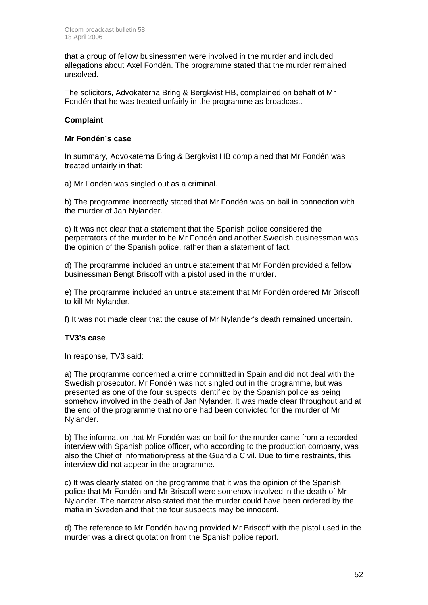that a group of fellow businessmen were involved in the murder and included allegations about Axel Fondén. The programme stated that the murder remained unsolved.

The solicitors, Advokaterna Bring & Bergkvist HB, complained on behalf of Mr Fondén that he was treated unfairly in the programme as broadcast.

#### **Complaint**

#### **Mr Fondén's case**

In summary, Advokaterna Bring & Bergkvist HB complained that Mr Fondén was treated unfairly in that:

a) Mr Fondén was singled out as a criminal.

b) The programme incorrectly stated that Mr Fondén was on bail in connection with the murder of Jan Nylander.

c) It was not clear that a statement that the Spanish police considered the perpetrators of the murder to be Mr Fondén and another Swedish businessman was the opinion of the Spanish police, rather than a statement of fact.

d) The programme included an untrue statement that Mr Fondén provided a fellow businessman Bengt Briscoff with a pistol used in the murder.

e) The programme included an untrue statement that Mr Fondén ordered Mr Briscoff to kill Mr Nylander.

f) It was not made clear that the cause of Mr Nylander's death remained uncertain.

#### **TV3's case**

In response, TV3 said:

a) The programme concerned a crime committed in Spain and did not deal with the Swedish prosecutor. Mr Fondén was not singled out in the programme, but was presented as one of the four suspects identified by the Spanish police as being somehow involved in the death of Jan Nylander. It was made clear throughout and at the end of the programme that no one had been convicted for the murder of Mr Nylander.

b) The information that Mr Fondén was on bail for the murder came from a recorded interview with Spanish police officer, who according to the production company, was also the Chief of Information/press at the Guardia Civil. Due to time restraints, this interview did not appear in the programme.

c) It was clearly stated on the programme that it was the opinion of the Spanish police that Mr Fondén and Mr Briscoff were somehow involved in the death of Mr Nylander. The narrator also stated that the murder could have been ordered by the mafia in Sweden and that the four suspects may be innocent.

d) The reference to Mr Fondén having provided Mr Briscoff with the pistol used in the murder was a direct quotation from the Spanish police report.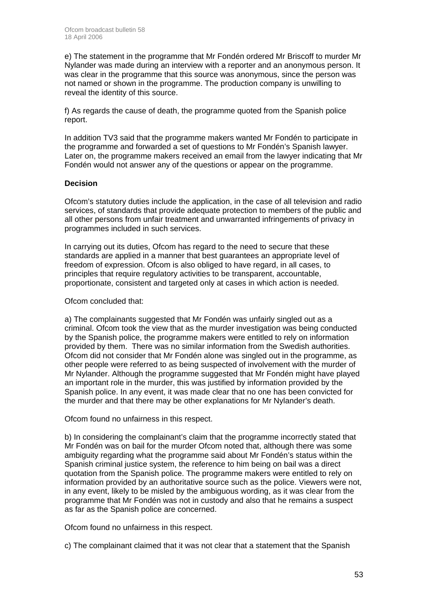e) The statement in the programme that Mr Fondén ordered Mr Briscoff to murder Mr Nylander was made during an interview with a reporter and an anonymous person. It was clear in the programme that this source was anonymous, since the person was not named or shown in the programme. The production company is unwilling to reveal the identity of this source.

f) As regards the cause of death, the programme quoted from the Spanish police report.

In addition TV3 said that the programme makers wanted Mr Fondén to participate in the programme and forwarded a set of questions to Mr Fondén's Spanish lawyer. Later on, the programme makers received an email from the lawyer indicating that Mr Fondén would not answer any of the questions or appear on the programme.

#### **Decision**

Ofcom's statutory duties include the application, in the case of all television and radio services, of standards that provide adequate protection to members of the public and all other persons from unfair treatment and unwarranted infringements of privacy in programmes included in such services.

In carrying out its duties, Ofcom has regard to the need to secure that these standards are applied in a manner that best guarantees an appropriate level of freedom of expression. Ofcom is also obliged to have regard, in all cases, to principles that require regulatory activities to be transparent, accountable, proportionate, consistent and targeted only at cases in which action is needed.

Ofcom concluded that:

a) The complainants suggested that Mr Fondén was unfairly singled out as a criminal. Ofcom took the view that as the murder investigation was being conducted by the Spanish police, the programme makers were entitled to rely on information provided by them. There was no similar information from the Swedish authorities. Ofcom did not consider that Mr Fondén alone was singled out in the programme, as other people were referred to as being suspected of involvement with the murder of Mr Nylander. Although the programme suggested that Mr Fondén might have played an important role in the murder, this was justified by information provided by the Spanish police. In any event, it was made clear that no one has been convicted for the murder and that there may be other explanations for Mr Nylander's death.

Ofcom found no unfairness in this respect.

b) In considering the complainant's claim that the programme incorrectly stated that Mr Fondén was on bail for the murder Ofcom noted that, although there was some ambiguity regarding what the programme said about Mr Fondén's status within the Spanish criminal justice system, the reference to him being on bail was a direct quotation from the Spanish police. The programme makers were entitled to rely on information provided by an authoritative source such as the police. Viewers were not, in any event, likely to be misled by the ambiguous wording, as it was clear from the programme that Mr Fondén was not in custody and also that he remains a suspect as far as the Spanish police are concerned.

Ofcom found no unfairness in this respect.

c) The complainant claimed that it was not clear that a statement that the Spanish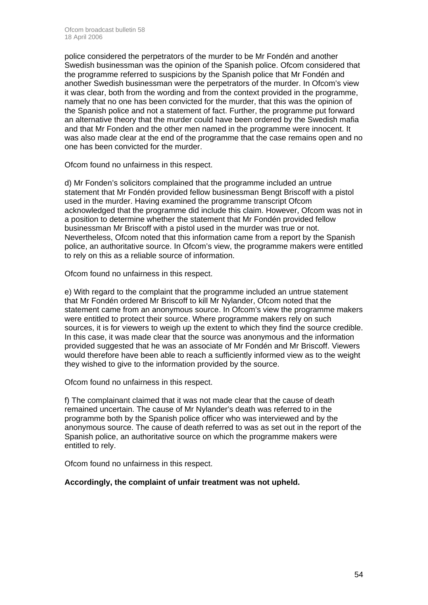police considered the perpetrators of the murder to be Mr Fondén and another Swedish businessman was the opinion of the Spanish police. Ofcom considered that the programme referred to suspicions by the Spanish police that Mr Fondén and another Swedish businessman were the perpetrators of the murder. In Ofcom's view it was clear, both from the wording and from the context provided in the programme, namely that no one has been convicted for the murder, that this was the opinion of the Spanish police and not a statement of fact. Further, the programme put forward an alternative theory that the murder could have been ordered by the Swedish mafia and that Mr Fonden and the other men named in the programme were innocent. It was also made clear at the end of the programme that the case remains open and no one has been convicted for the murder.

Ofcom found no unfairness in this respect.

d) Mr Fonden's solicitors complained that the programme included an untrue statement that Mr Fondén provided fellow businessman Bengt Briscoff with a pistol used in the murder. Having examined the programme transcript Ofcom acknowledged that the programme did include this claim. However, Ofcom was not in a position to determine whether the statement that Mr Fondén provided fellow businessman Mr Briscoff with a pistol used in the murder was true or not. Nevertheless, Ofcom noted that this information came from a report by the Spanish police, an authoritative source. In Ofcom's view, the programme makers were entitled to rely on this as a reliable source of information.

Ofcom found no unfairness in this respect.

e) With regard to the complaint that the programme included an untrue statement that Mr Fondén ordered Mr Briscoff to kill Mr Nylander, Ofcom noted that the statement came from an anonymous source. In Ofcom's view the programme makers were entitled to protect their source. Where programme makers rely on such sources, it is for viewers to weigh up the extent to which they find the source credible. In this case, it was made clear that the source was anonymous and the information provided suggested that he was an associate of Mr Fondén and Mr Briscoff. Viewers would therefore have been able to reach a sufficiently informed view as to the weight they wished to give to the information provided by the source.

Ofcom found no unfairness in this respect.

f) The complainant claimed that it was not made clear that the cause of death remained uncertain. The cause of Mr Nylander's death was referred to in the programme both by the Spanish police officer who was interviewed and by the anonymous source. The cause of death referred to was as set out in the report of the Spanish police, an authoritative source on which the programme makers were entitled to rely.

Ofcom found no unfairness in this respect.

#### **Accordingly, the complaint of unfair treatment was not upheld.**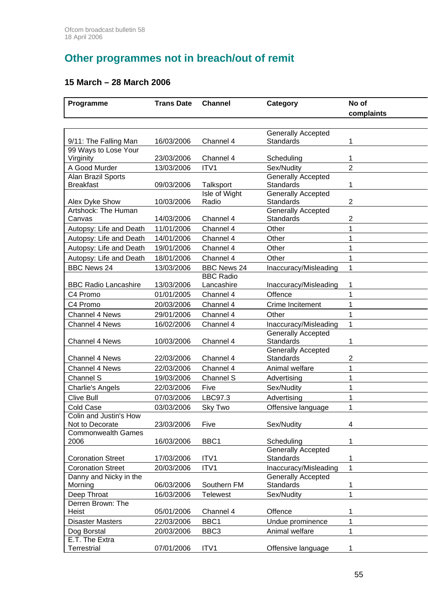# **Other programmes not in breach/out of remit**

### **15 March – 28 March 2006**

| Programme                                    | <b>Trans Date</b> | <b>Channel</b>                         | Category                               | No of<br>complaints |
|----------------------------------------------|-------------------|----------------------------------------|----------------------------------------|---------------------|
|                                              |                   |                                        |                                        |                     |
|                                              |                   |                                        | Generally Accepted                     |                     |
| 9/11: The Falling Man                        | 16/03/2006        | Channel 4                              | <b>Standards</b>                       | 1                   |
| 99 Ways to Lose Your                         |                   |                                        |                                        |                     |
| Virginity                                    | 23/03/2006        | Channel 4                              | Scheduling                             | 1                   |
| A Good Murder                                | 13/03/2006        | ITV1                                   | Sex/Nudity                             | $\overline{2}$      |
| Alan Brazil Sports                           |                   |                                        | <b>Generally Accepted</b>              |                     |
| <b>Breakfast</b>                             | 09/03/2006        | Talksport                              | Standards                              | 1                   |
|                                              |                   | Isle of Wight                          | <b>Generally Accepted</b>              |                     |
| Alex Dyke Show                               | 10/03/2006        | Radio                                  | Standards                              | $\overline{2}$      |
| Artshock: The Human<br>Canvas                | 14/03/2006        | Channel 4                              | <b>Generally Accepted</b><br>Standards | 2                   |
| Autopsy: Life and Death                      | 11/01/2006        | Channel 4                              | Other                                  | 1                   |
|                                              | 14/01/2006        |                                        |                                        | 1                   |
| Autopsy: Life and Death                      |                   | Channel 4                              | Other<br>Other                         | 1                   |
| Autopsy: Life and Death                      | 19/01/2006        | Channel 4                              |                                        |                     |
| Autopsy: Life and Death                      | 18/01/2006        | Channel 4                              | Other                                  | 1                   |
| <b>BBC News 24</b>                           | 13/03/2006        | <b>BBC News 24</b><br><b>BBC Radio</b> | Inaccuracy/Misleading                  | 1                   |
| <b>BBC Radio Lancashire</b>                  | 13/03/2006        | Lancashire                             | Inaccuracy/Misleading                  | 1                   |
| C4 Promo                                     | 01/01/2005        | Channel 4                              | Offence                                | 1                   |
| C4 Promo                                     | 20/03/2006        | Channel 4                              | Crime Incitement                       | 1                   |
| Channel 4 News                               | 29/01/2006        | Channel 4                              | Other                                  | 1                   |
| <b>Channel 4 News</b>                        | 16/02/2006        | Channel 4                              | Inaccuracy/Misleading                  | 1                   |
|                                              |                   |                                        | <b>Generally Accepted</b>              |                     |
| Channel 4 News                               | 10/03/2006        | Channel 4                              | <b>Standards</b>                       | 1                   |
|                                              |                   |                                        | Generally Accepted                     |                     |
| <b>Channel 4 News</b>                        | 22/03/2006        | Channel 4                              | Standards                              | 2                   |
| <b>Channel 4 News</b>                        | 22/03/2006        | Channel 4                              | Animal welfare                         | 1                   |
| Channel S                                    | 19/03/2006        | Channel S                              | Advertising                            | 1                   |
| <b>Charlie's Angels</b>                      | 22/03/2006        | Five                                   | Sex/Nudity                             | 1                   |
| <b>Clive Bull</b>                            | 07/03/2006        | LBC97.3                                | Advertising                            | 1                   |
| Cold Case                                    | 03/03/2006        | Sky Two                                | Offensive language                     | 1                   |
| Colin and Justin's How                       |                   |                                        |                                        |                     |
| Not to Decorate<br><b>Commonwealth Games</b> | 23/03/2006        | Five                                   | Sex/Nudity                             | 4                   |
| 2006                                         | 16/03/2006        | BBC1                                   | Scheduling                             | 1                   |
|                                              |                   |                                        | <b>Generally Accepted</b>              |                     |
| <b>Coronation Street</b>                     | 17/03/2006        | ITV1                                   | <b>Standards</b>                       | 1                   |
| <b>Coronation Street</b>                     | 20/03/2006        | ITV1                                   | Inaccuracy/Misleading                  | $\mathbf 1$         |
| Danny and Nicky in the                       |                   |                                        | <b>Generally Accepted</b>              |                     |
| Morning                                      | 06/03/2006        | Southern FM                            | Standards                              | 1                   |
| Deep Throat                                  | 16/03/2006        | <b>Telewest</b>                        | Sex/Nudity                             | 1                   |
| Derren Brown: The                            |                   |                                        |                                        |                     |
| Heist                                        | 05/01/2006        | Channel 4                              | Offence                                |                     |
| <b>Disaster Masters</b>                      | 22/03/2006        | BBC1                                   | Undue prominence                       | 1                   |
| Dog Borstal                                  | 20/03/2006        | BBC3                                   | Animal welfare                         | 1                   |
| E.T. The Extra                               |                   |                                        |                                        |                     |
| <b>Terrestrial</b>                           | 07/01/2006        | ITV1                                   | Offensive language                     | 1                   |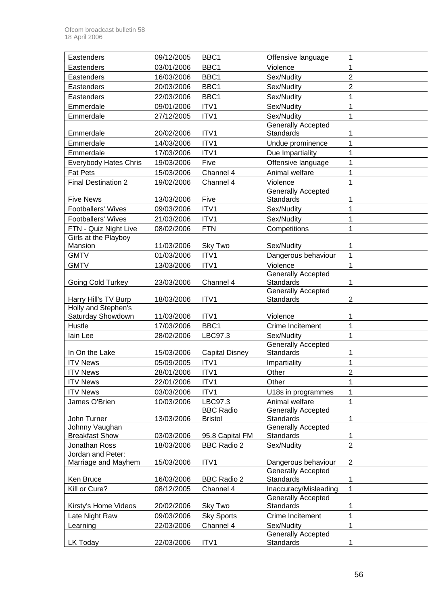| Eastenders                              | 09/12/2005 | BBC1                  | Offensive language                            | 1              |
|-----------------------------------------|------------|-----------------------|-----------------------------------------------|----------------|
| Eastenders                              | 03/01/2006 | BBC1                  | Violence                                      | 1              |
| Eastenders                              | 16/03/2006 | BBC1                  | Sex/Nudity                                    | $\overline{2}$ |
| Eastenders                              | 20/03/2006 | BBC1                  | Sex/Nudity                                    | $\overline{2}$ |
| Eastenders                              | 22/03/2006 | BBC1                  | Sex/Nudity                                    | 1              |
| Emmerdale                               | 09/01/2006 | ITV1                  | Sex/Nudity                                    | 1              |
| Emmerdale                               | 27/12/2005 | ITV1                  | Sex/Nudity                                    |                |
|                                         |            |                       | <b>Generally Accepted</b>                     |                |
| Emmerdale                               | 20/02/2006 | ITV1                  | Standards                                     |                |
| Emmerdale                               | 14/03/2006 | ITV1                  | Undue prominence                              |                |
| Emmerdale                               | 17/03/2006 | ITV1                  | Due Impartiality                              |                |
| <b>Everybody Hates Chris</b>            | 19/03/2006 | Five                  | Offensive language                            |                |
| <b>Fat Pets</b>                         | 15/03/2006 | Channel 4             | Animal welfare                                | 1              |
| <b>Final Destination 2</b>              | 19/02/2006 | Channel 4             | Violence                                      | 1              |
|                                         |            |                       | <b>Generally Accepted</b>                     |                |
| <b>Five News</b>                        | 13/03/2006 | Five                  | Standards                                     | 1              |
| <b>Footballers' Wives</b>               | 09/03/2006 | ITV1                  | Sex/Nudity                                    | 1              |
| <b>Footballers' Wives</b>               | 21/03/2006 | ITV1                  | Sex/Nudity                                    | 1              |
| FTN - Quiz Night Live                   | 08/02/2006 | <b>FTN</b>            | Competitions                                  | 1              |
| Girls at the Playboy                    |            |                       |                                               |                |
| Mansion                                 | 11/03/2006 | Sky Two               | Sex/Nudity                                    | 1              |
| <b>GMTV</b>                             | 01/03/2006 | ITV1                  | Dangerous behaviour                           | 1              |
| <b>GMTV</b>                             | 13/03/2006 | ITV1                  | Violence                                      | 1              |
|                                         |            |                       | <b>Generally Accepted</b><br><b>Standards</b> |                |
| Going Cold Turkey                       | 23/03/2006 | Channel 4             | <b>Generally Accepted</b>                     | 1              |
| Harry Hill's TV Burp                    | 18/03/2006 | ITV1                  | <b>Standards</b>                              | $\overline{2}$ |
| Holly and Stephen's                     |            |                       |                                               |                |
| Saturday Showdown                       | 11/03/2006 | ITV1                  | Violence                                      | 1              |
| Hustle                                  | 17/03/2006 | BBC1                  | Crime Incitement                              | 1              |
| lain Lee                                | 28/02/2006 | LBC97.3               | Sex/Nudity                                    | 1              |
|                                         |            |                       | <b>Generally Accepted</b>                     |                |
| In On the Lake                          | 15/03/2006 | <b>Capital Disney</b> | Standards                                     | 1              |
| <b>ITV News</b>                         | 05/09/2005 | ITV1                  | Impartiality                                  | 1              |
| <b>ITV News</b>                         | 28/01/2006 | ITV1                  | Other                                         | $\overline{2}$ |
| <b>ITV News</b>                         | 22/01/2006 | ITV1                  | Other                                         | 1              |
| <b>ITV News</b>                         | 03/03/2006 | ITV1                  | U18s in programmes                            | 1              |
| James O'Brien                           | 10/03/2006 | LBC97.3               | Animal welfare                                | 1              |
|                                         |            | <b>BBC Radio</b>      | Generally Accepted                            |                |
| John Turner                             | 13/03/2006 | <b>Bristol</b>        | <b>Standards</b>                              |                |
| Johnny Vaughan<br><b>Breakfast Show</b> | 03/03/2006 | 95.8 Capital FM       | Generally Accepted<br>Standards               | 1              |
| Jonathan Ross                           | 18/03/2006 | <b>BBC Radio 2</b>    | Sex/Nudity                                    | $\overline{2}$ |
| Jordan and Peter:                       |            |                       |                                               |                |
| Marriage and Mayhem                     | 15/03/2006 | ITV1                  | Dangerous behaviour                           | $\overline{c}$ |
|                                         |            |                       | <b>Generally Accepted</b>                     |                |
| Ken Bruce                               | 16/03/2006 | <b>BBC Radio 2</b>    | Standards                                     | 1              |
| Kill or Cure?                           | 08/12/2005 | Channel 4             | Inaccuracy/Misleading                         | $\mathbf{1}$   |
|                                         |            |                       | <b>Generally Accepted</b>                     |                |
| Kirsty's Home Videos                    | 20/02/2006 | Sky Two               | Standards                                     | 1              |
| Late Night Raw                          | 09/03/2006 | <b>Sky Sports</b>     | Crime Incitement                              | 1              |
| Learning                                | 22/03/2006 | Channel 4             | Sex/Nudity                                    | 1              |
|                                         |            |                       | <b>Generally Accepted</b>                     |                |
| LK Today                                | 22/03/2006 | ITV1                  | <b>Standards</b>                              |                |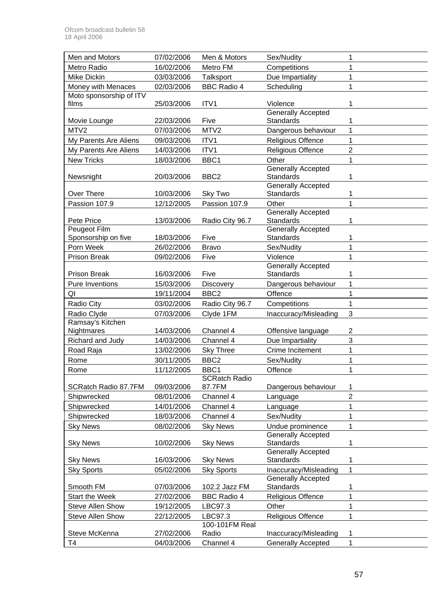| Men and Motors          | 07/02/2006 | Men & Motors         | Sex/Nudity                                    | 1              |
|-------------------------|------------|----------------------|-----------------------------------------------|----------------|
| Metro Radio             | 16/02/2006 | Metro FM             | Competitions                                  |                |
| Mike Dickin             | 03/03/2006 | Talksport            | Due Impartiality                              | 1              |
| Money with Menaces      | 02/03/2006 | <b>BBC Radio 4</b>   | Scheduling                                    | 1              |
| Moto sponsorship of ITV |            |                      |                                               |                |
| films                   | 25/03/2006 | ITV1                 | Violence                                      |                |
|                         |            |                      | <b>Generally Accepted</b>                     |                |
| Movie Lounge            | 22/03/2006 | Five                 | <b>Standards</b>                              |                |
| MTV2                    | 07/03/2006 | MTV2                 | Dangerous behaviour                           | 1              |
| My Parents Are Aliens   | 09/03/2006 | ITV1                 | <b>Religious Offence</b>                      | 1              |
| My Parents Are Aliens   | 14/03/2006 | ITV1                 | <b>Religious Offence</b>                      | $\overline{2}$ |
| <b>New Tricks</b>       | 18/03/2006 | BBC1                 | Other                                         |                |
|                         |            |                      | <b>Generally Accepted</b>                     |                |
| Newsnight               | 20/03/2006 | BBC <sub>2</sub>     | <b>Standards</b>                              | 1              |
| Over There              | 10/03/2006 | Sky Two              | <b>Generally Accepted</b><br><b>Standards</b> | 1              |
|                         | 12/12/2005 |                      | Other                                         | 1              |
| Passion 107.9           |            | Passion 107.9        | <b>Generally Accepted</b>                     |                |
| Pete Price              | 13/03/2006 | Radio City 96.7      | Standards                                     | 1              |
| Peugeot Film            |            |                      | <b>Generally Accepted</b>                     |                |
| Sponsorship on five     | 18/03/2006 | Five                 | <b>Standards</b>                              |                |
| Porn Week               | 26/02/2006 | <b>Bravo</b>         | Sex/Nudity                                    | 1              |
| <b>Prison Break</b>     | 09/02/2006 | Five                 | Violence                                      |                |
|                         |            |                      | <b>Generally Accepted</b>                     |                |
| <b>Prison Break</b>     | 16/03/2006 | Five                 | Standards                                     |                |
| <b>Pure Inventions</b>  | 15/03/2006 | Discovery            | Dangerous behaviour                           | 1              |
| QI                      | 19/11/2004 | BBC <sub>2</sub>     | Offence                                       | 1              |
| Radio City              | 03/02/2006 | Radio City 96.7      | Competitions                                  | 1              |
| Radio Clyde             | 07/03/2006 | Clyde 1FM            | Inaccuracy/Misleading                         | 3              |
| Ramsay's Kitchen        |            |                      |                                               |                |
| Nightmares              | 14/03/2006 | Channel 4            | Offensive language                            | $\overline{2}$ |
| Richard and Judy        | 14/03/2006 | Channel 4            | Due Impartiality                              | 3              |
| Road Raja               | 13/02/2006 | <b>Sky Three</b>     | Crime Incitement                              | 1              |
| Rome                    | 30/11/2005 | BBC <sub>2</sub>     | Sex/Nudity                                    |                |
| Rome                    | 11/12/2005 | BBC1                 | Offence                                       | 1              |
|                         |            | <b>SCRatch Radio</b> |                                               |                |
| SCRatch Radio 87.7FM    | 09/03/2006 | 87.7FM               | Dangerous behaviour                           | 1              |
| Shipwrecked             | 08/01/2006 | Channel 4            | Language                                      | $\overline{2}$ |
| Shipwrecked             | 14/01/2006 | Channel 4            | Language                                      | 1              |
| Shipwrecked             | 18/03/2006 | Channel 4            | Sex/Nudity                                    | 1              |
| <b>Sky News</b>         | 08/02/2006 | <b>Sky News</b>      | Undue prominence                              | 1              |
|                         |            |                      | <b>Generally Accepted</b>                     |                |
| <b>Sky News</b>         | 10/02/2006 | <b>Sky News</b>      | <b>Standards</b>                              | 1              |
|                         |            |                      | <b>Generally Accepted</b>                     |                |
| <b>Sky News</b>         | 16/03/2006 | <b>Sky News</b>      | <b>Standards</b>                              | 1              |
| <b>Sky Sports</b>       | 05/02/2006 | <b>Sky Sports</b>    | Inaccuracy/Misleading                         | $\mathbf{1}$   |
| Smooth FM               | 07/03/2006 | 102.2 Jazz FM        | <b>Generally Accepted</b><br><b>Standards</b> | 1              |
| <b>Start the Week</b>   | 27/02/2006 | <b>BBC Radio 4</b>   | Religious Offence                             | 1              |
| <b>Steve Allen Show</b> | 19/12/2005 | LBC97.3              | Other                                         | 1              |
| <b>Steve Allen Show</b> | 22/12/2005 | LBC97.3              | <b>Religious Offence</b>                      | 1              |
|                         |            | 100-101FM Real       |                                               |                |
| Steve McKenna           | 27/02/2006 | Radio                | Inaccuracy/Misleading                         | 1              |
| T4                      | 04/03/2006 | Channel 4            | <b>Generally Accepted</b>                     | 1              |
|                         |            |                      |                                               |                |